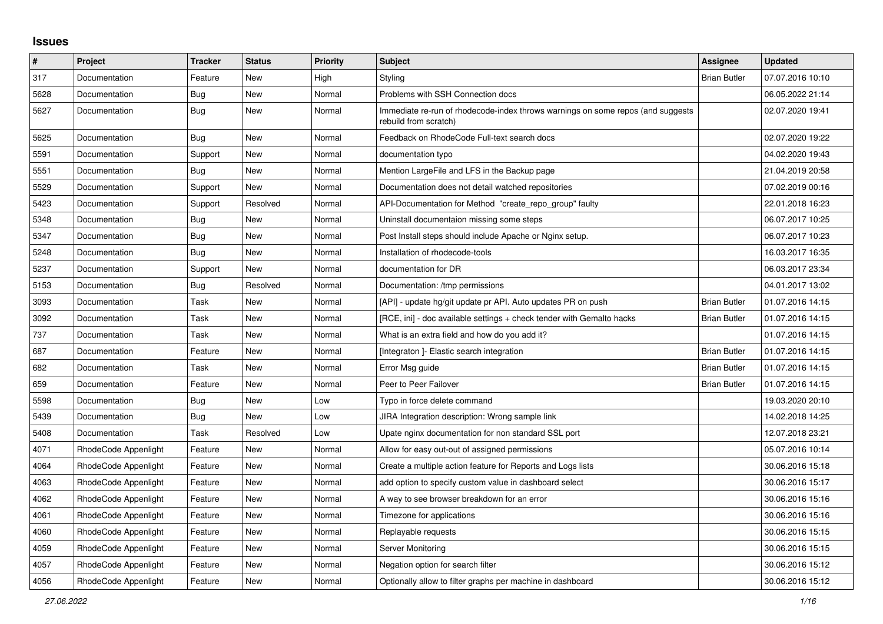## **Issues**

| #    | Project              | <b>Tracker</b> | <b>Status</b> | <b>Priority</b> | Subject                                                                                                  | <b>Assignee</b>     | <b>Updated</b>   |
|------|----------------------|----------------|---------------|-----------------|----------------------------------------------------------------------------------------------------------|---------------------|------------------|
| 317  | Documentation        | Feature        | New           | High            | Styling                                                                                                  | <b>Brian Butler</b> | 07.07.2016 10:10 |
| 5628 | Documentation        | Bug            | <b>New</b>    | Normal          | Problems with SSH Connection docs                                                                        |                     | 06.05.2022 21:14 |
| 5627 | Documentation        | Bug            | New           | Normal          | Immediate re-run of rhodecode-index throws warnings on some repos (and suggests<br>rebuild from scratch) |                     | 02.07.2020 19:41 |
| 5625 | Documentation        | Bug            | New           | Normal          | Feedback on RhodeCode Full-text search docs                                                              |                     | 02.07.2020 19:22 |
| 5591 | Documentation        | Support        | New           | Normal          | documentation typo                                                                                       |                     | 04.02.2020 19:43 |
| 5551 | Documentation        | Bug            | New           | Normal          | Mention LargeFile and LFS in the Backup page                                                             |                     | 21.04.2019 20:58 |
| 5529 | Documentation        | Support        | <b>New</b>    | Normal          | Documentation does not detail watched repositories                                                       |                     | 07.02.2019 00:16 |
| 5423 | Documentation        | Support        | Resolved      | Normal          | API-Documentation for Method "create_repo_group" faulty                                                  |                     | 22.01.2018 16:23 |
| 5348 | Documentation        | Bug            | New           | Normal          | Uninstall documentaion missing some steps                                                                |                     | 06.07.2017 10:25 |
| 5347 | Documentation        | Bug            | New           | Normal          | Post Install steps should include Apache or Nginx setup.                                                 |                     | 06.07.2017 10:23 |
| 5248 | Documentation        | <b>Bug</b>     | <b>New</b>    | Normal          | Installation of rhodecode-tools                                                                          |                     | 16.03.2017 16:35 |
| 5237 | Documentation        | Support        | <b>New</b>    | Normal          | documentation for DR                                                                                     |                     | 06.03.2017 23:34 |
| 5153 | Documentation        | <b>Bug</b>     | Resolved      | Normal          | Documentation: /tmp permissions                                                                          |                     | 04.01.2017 13:02 |
| 3093 | Documentation        | Task           | New           | Normal          | [API] - update hg/git update pr API. Auto updates PR on push                                             | <b>Brian Butler</b> | 01.07.2016 14:15 |
| 3092 | Documentation        | Task           | New           | Normal          | [RCE, ini] - doc available settings + check tender with Gemalto hacks                                    | <b>Brian Butler</b> | 01.07.2016 14:15 |
| 737  | Documentation        | Task           | New           | Normal          | What is an extra field and how do you add it?                                                            |                     | 01.07.2016 14:15 |
| 687  | Documentation        | Feature        | <b>New</b>    | Normal          | [Integraton] - Elastic search integration                                                                | <b>Brian Butler</b> | 01.07.2016 14:15 |
| 682  | Documentation        | Task           | New           | Normal          | Error Msg guide                                                                                          | <b>Brian Butler</b> | 01.07.2016 14:15 |
| 659  | Documentation        | Feature        | New           | Normal          | Peer to Peer Failover                                                                                    | <b>Brian Butler</b> | 01.07.2016 14:15 |
| 5598 | Documentation        | <b>Bug</b>     | New           | Low             | Typo in force delete command                                                                             |                     | 19.03.2020 20:10 |
| 5439 | Documentation        | <b>Bug</b>     | New           | Low             | JIRA Integration description: Wrong sample link                                                          |                     | 14.02.2018 14:25 |
| 5408 | Documentation        | Task           | Resolved      | Low             | Upate nginx documentation for non standard SSL port                                                      |                     | 12.07.2018 23:21 |
| 4071 | RhodeCode Appenlight | Feature        | New           | Normal          | Allow for easy out-out of assigned permissions                                                           |                     | 05.07.2016 10:14 |
| 4064 | RhodeCode Appenlight | Feature        | New           | Normal          | Create a multiple action feature for Reports and Logs lists                                              |                     | 30.06.2016 15:18 |
| 4063 | RhodeCode Appenlight | Feature        | New           | Normal          | add option to specify custom value in dashboard select                                                   |                     | 30.06.2016 15:17 |
| 4062 | RhodeCode Appenlight | Feature        | <b>New</b>    | Normal          | A way to see browser breakdown for an error                                                              |                     | 30.06.2016 15:16 |
| 4061 | RhodeCode Appenlight | Feature        | New           | Normal          | Timezone for applications                                                                                |                     | 30.06.2016 15:16 |
| 4060 | RhodeCode Appenlight | Feature        | New           | Normal          | Replayable requests                                                                                      |                     | 30.06.2016 15:15 |
| 4059 | RhodeCode Appenlight | Feature        | New           | Normal          | Server Monitoring                                                                                        |                     | 30.06.2016 15:15 |
| 4057 | RhodeCode Appenlight | Feature        | New           | Normal          | Negation option for search filter                                                                        |                     | 30.06.2016 15:12 |
| 4056 | RhodeCode Appenlight | Feature        | <b>New</b>    | Normal          | Optionally allow to filter graphs per machine in dashboard                                               |                     | 30.06.2016 15:12 |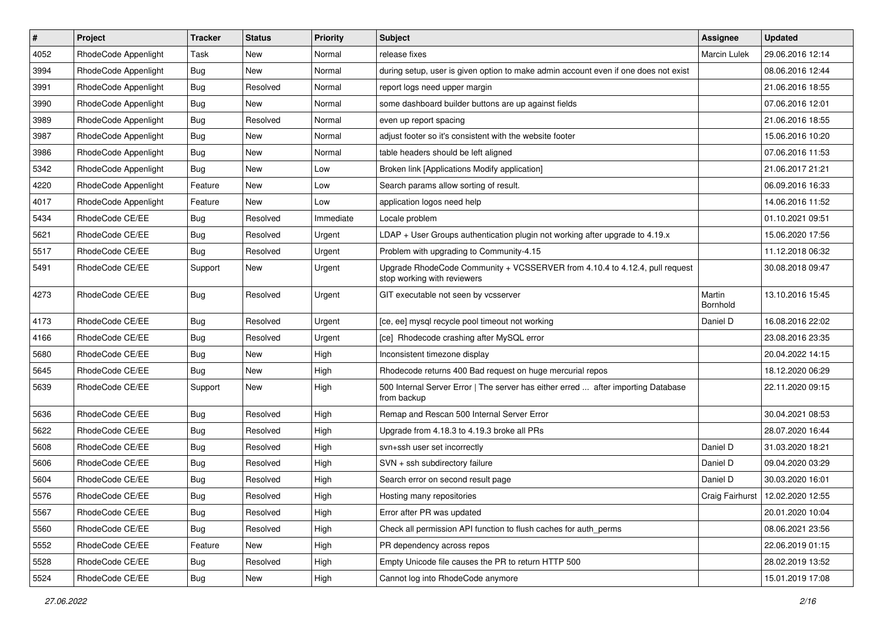| $\#$ | Project              | <b>Tracker</b> | <b>Status</b> | <b>Priority</b> | <b>Subject</b>                                                                                             | <b>Assignee</b>     | <b>Updated</b>                     |
|------|----------------------|----------------|---------------|-----------------|------------------------------------------------------------------------------------------------------------|---------------------|------------------------------------|
| 4052 | RhodeCode Appenlight | Task           | New           | Normal          | release fixes                                                                                              | <b>Marcin Lulek</b> | 29.06.2016 12:14                   |
| 3994 | RhodeCode Appenlight | <b>Bug</b>     | New           | Normal          | during setup, user is given option to make admin account even if one does not exist                        |                     | 08.06.2016 12:44                   |
| 3991 | RhodeCode Appenlight | Bug            | Resolved      | Normal          | report logs need upper margin                                                                              |                     | 21.06.2016 18:55                   |
| 3990 | RhodeCode Appenlight | <b>Bug</b>     | New           | Normal          | some dashboard builder buttons are up against fields                                                       |                     | 07.06.2016 12:01                   |
| 3989 | RhodeCode Appenlight | Bug            | Resolved      | Normal          | even up report spacing                                                                                     |                     | 21.06.2016 18:55                   |
| 3987 | RhodeCode Appenlight | <b>Bug</b>     | New           | Normal          | adjust footer so it's consistent with the website footer                                                   |                     | 15.06.2016 10:20                   |
| 3986 | RhodeCode Appenlight | Bug            | New           | Normal          | table headers should be left aligned                                                                       |                     | 07.06.2016 11:53                   |
| 5342 | RhodeCode Appenlight | <b>Bug</b>     | New           | Low             | Broken link [Applications Modify application]                                                              |                     | 21.06.2017 21:21                   |
| 4220 | RhodeCode Appenlight | Feature        | New           | Low             | Search params allow sorting of result.                                                                     |                     | 06.09.2016 16:33                   |
| 4017 | RhodeCode Appenlight | Feature        | New           | Low             | application logos need help                                                                                |                     | 14.06.2016 11:52                   |
| 5434 | RhodeCode CE/EE      | Bug            | Resolved      | Immediate       | Locale problem                                                                                             |                     | 01.10.2021 09:51                   |
| 5621 | RhodeCode CE/EE      | <b>Bug</b>     | Resolved      | Urgent          | LDAP + User Groups authentication plugin not working after upgrade to 4.19.x                               |                     | 15.06.2020 17:56                   |
| 5517 | RhodeCode CE/EE      | <b>Bug</b>     | Resolved      | Urgent          | Problem with upgrading to Community-4.15                                                                   |                     | 11.12.2018 06:32                   |
| 5491 | RhodeCode CE/EE      | Support        | New           | Urgent          | Upgrade RhodeCode Community + VCSSERVER from 4.10.4 to 4.12.4, pull request<br>stop working with reviewers |                     | 30.08.2018 09:47                   |
| 4273 | RhodeCode CE/EE      | Bug            | Resolved      | Urgent          | GIT executable not seen by vcsserver                                                                       | Martin<br>Bornhold  | 13.10.2016 15:45                   |
| 4173 | RhodeCode CE/EE      | <b>Bug</b>     | Resolved      | Urgent          | [ce, ee] mysql recycle pool timeout not working                                                            | Daniel D            | 16.08.2016 22:02                   |
| 4166 | RhodeCode CE/EE      | Bug            | Resolved      | Urgent          | [ce] Rhodecode crashing after MySQL error                                                                  |                     | 23.08.2016 23:35                   |
| 5680 | RhodeCode CE/EE      | <b>Bug</b>     | New           | High            | Inconsistent timezone display                                                                              |                     | 20.04.2022 14:15                   |
| 5645 | RhodeCode CE/EE      | <b>Bug</b>     | New           | High            | Rhodecode returns 400 Bad request on huge mercurial repos                                                  |                     | 18.12.2020 06:29                   |
| 5639 | RhodeCode CE/EE      | Support        | New           | High            | 500 Internal Server Error   The server has either erred  after importing Database<br>from backup           |                     | 22.11.2020 09:15                   |
| 5636 | RhodeCode CE/EE      | <b>Bug</b>     | Resolved      | High            | Remap and Rescan 500 Internal Server Error                                                                 |                     | 30.04.2021 08:53                   |
| 5622 | RhodeCode CE/EE      | Bug            | Resolved      | High            | Upgrade from 4.18.3 to 4.19.3 broke all PRs                                                                |                     | 28.07.2020 16:44                   |
| 5608 | RhodeCode CE/EE      | Bug            | Resolved      | High            | svn+ssh user set incorrectly                                                                               | Daniel D            | 31.03.2020 18:21                   |
| 5606 | RhodeCode CE/EE      | <b>Bug</b>     | Resolved      | High            | SVN + ssh subdirectory failure                                                                             | Daniel D            | 09.04.2020 03:29                   |
| 5604 | RhodeCode CE/EE      | <b>Bug</b>     | Resolved      | High            | Search error on second result page                                                                         | Daniel D            | 30.03.2020 16:01                   |
| 5576 | RhodeCode CE/EE      | <b>Bug</b>     | Resolved      | High            | Hosting many repositories                                                                                  |                     | Craig Fairhurst   12.02.2020 12:55 |
| 5567 | RhodeCode CE/EE      | Bug            | Resolved      | High            | Error after PR was updated                                                                                 |                     | 20.01.2020 10:04                   |
| 5560 | RhodeCode CE/EE      | Bug            | Resolved      | High            | Check all permission API function to flush caches for auth_perms                                           |                     | 08.06.2021 23:56                   |
| 5552 | RhodeCode CE/EE      | Feature        | New           | High            | PR dependency across repos                                                                                 |                     | 22.06.2019 01:15                   |
| 5528 | RhodeCode CE/EE      | <b>Bug</b>     | Resolved      | High            | Empty Unicode file causes the PR to return HTTP 500                                                        |                     | 28.02.2019 13:52                   |
| 5524 | RhodeCode CE/EE      | Bug            | New           | High            | Cannot log into RhodeCode anymore                                                                          |                     | 15.01.2019 17:08                   |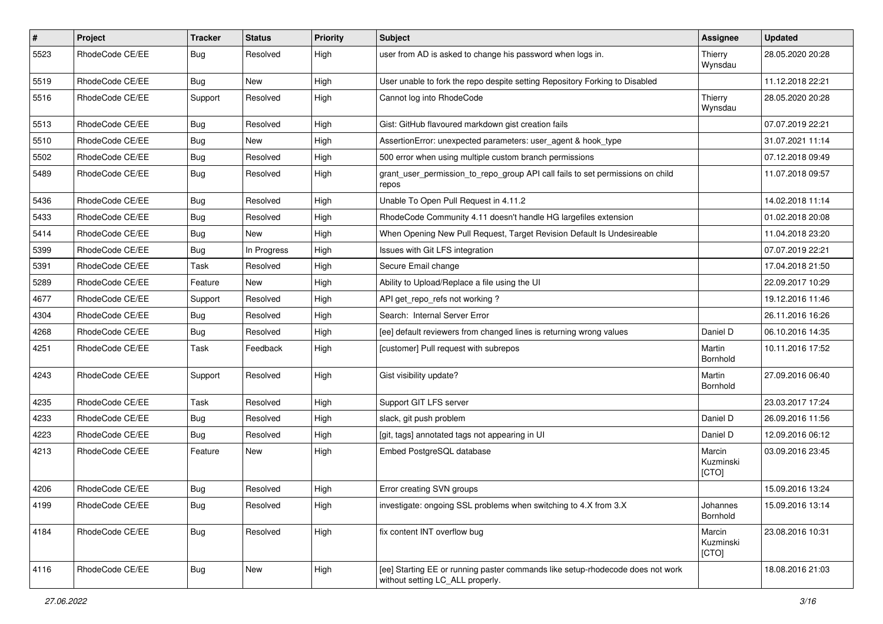| $\pmb{\#}$ | Project         | <b>Tracker</b> | <b>Status</b> | <b>Priority</b> | <b>Subject</b>                                                                                                     | Assignee                     | <b>Updated</b>   |
|------------|-----------------|----------------|---------------|-----------------|--------------------------------------------------------------------------------------------------------------------|------------------------------|------------------|
| 5523       | RhodeCode CE/EE | <b>Bug</b>     | Resolved      | High            | user from AD is asked to change his password when logs in.                                                         | Thierry<br>Wynsdau           | 28.05.2020 20:28 |
| 5519       | RhodeCode CE/EE | Bug            | New           | High            | User unable to fork the repo despite setting Repository Forking to Disabled                                        |                              | 11.12.2018 22:21 |
| 5516       | RhodeCode CE/EE | Support        | Resolved      | High            | Cannot log into RhodeCode                                                                                          | Thierry<br>Wynsdau           | 28.05.2020 20:28 |
| 5513       | RhodeCode CE/EE | Bug            | Resolved      | High            | Gist: GitHub flavoured markdown gist creation fails                                                                |                              | 07.07.2019 22:21 |
| 5510       | RhodeCode CE/EE | Bug            | New           | High            | AssertionError: unexpected parameters: user_agent & hook_type                                                      |                              | 31.07.2021 11:14 |
| 5502       | RhodeCode CE/EE | <b>Bug</b>     | Resolved      | High            | 500 error when using multiple custom branch permissions                                                            |                              | 07.12.2018 09:49 |
| 5489       | RhodeCode CE/EE | <b>Bug</b>     | Resolved      | High            | grant_user_permission_to_repo_group API call fails to set permissions on child<br>repos                            |                              | 11.07.2018 09:57 |
| 5436       | RhodeCode CE/EE | <b>Bug</b>     | Resolved      | High            | Unable To Open Pull Request in 4.11.2                                                                              |                              | 14.02.2018 11:14 |
| 5433       | RhodeCode CE/EE | Bug            | Resolved      | High            | RhodeCode Community 4.11 doesn't handle HG largefiles extension                                                    |                              | 01.02.2018 20:08 |
| 5414       | RhodeCode CE/EE | Bug            | New           | High            | When Opening New Pull Request, Target Revision Default Is Undesireable                                             |                              | 11.04.2018 23:20 |
| 5399       | RhodeCode CE/EE | Bug            | In Progress   | High            | Issues with Git LFS integration                                                                                    |                              | 07.07.2019 22:21 |
| 5391       | RhodeCode CE/EE | Task           | Resolved      | High            | Secure Email change                                                                                                |                              | 17.04.2018 21:50 |
| 5289       | RhodeCode CE/EE | Feature        | <b>New</b>    | High            | Ability to Upload/Replace a file using the UI                                                                      |                              | 22.09.2017 10:29 |
| 4677       | RhodeCode CE/EE | Support        | Resolved      | High            | API get_repo_refs not working?                                                                                     |                              | 19.12.2016 11:46 |
| 4304       | RhodeCode CE/EE | Bug            | Resolved      | High            | Search: Internal Server Error                                                                                      |                              | 26.11.2016 16:26 |
| 4268       | RhodeCode CE/EE | <b>Bug</b>     | Resolved      | High            | [ee] default reviewers from changed lines is returning wrong values                                                | Daniel D                     | 06.10.2016 14:35 |
| 4251       | RhodeCode CE/EE | Task           | Feedback      | High            | [customer] Pull request with subrepos                                                                              | Martin<br><b>Bornhold</b>    | 10.11.2016 17:52 |
| 4243       | RhodeCode CE/EE | Support        | Resolved      | High            | Gist visibility update?                                                                                            | Martin<br>Bornhold           | 27.09.2016 06:40 |
| 4235       | RhodeCode CE/EE | Task           | Resolved      | High            | Support GIT LFS server                                                                                             |                              | 23.03.2017 17:24 |
| 4233       | RhodeCode CE/EE | Bug            | Resolved      | High            | slack, git push problem                                                                                            | Daniel D                     | 26.09.2016 11:56 |
| 4223       | RhodeCode CE/EE | Bug            | Resolved      | High            | [git, tags] annotated tags not appearing in UI                                                                     | Daniel D                     | 12.09.2016 06:12 |
| 4213       | RhodeCode CE/EE | Feature        | New           | High            | Embed PostgreSQL database                                                                                          | Marcin<br>Kuzminski<br>[CTO] | 03.09.2016 23:45 |
| 4206       | RhodeCode CE/EE | Bug            | Resolved      | High            | Error creating SVN groups                                                                                          |                              | 15.09.2016 13:24 |
| 4199       | RhodeCode CE/EE | <b>Bug</b>     | Resolved      | High            | investigate: ongoing SSL problems when switching to 4.X from 3.X                                                   | Johannes<br>Bornhold         | 15.09.2016 13:14 |
| 4184       | RhodeCode CE/EE | <b>Bug</b>     | Resolved      | High            | fix content INT overflow bug                                                                                       | Marcin<br>Kuzminski<br>[CTO] | 23.08.2016 10:31 |
| 4116       | RhodeCode CE/EE | Bug            | New           | High            | [ee] Starting EE or running paster commands like setup-rhodecode does not work<br>without setting LC_ALL properly. |                              | 18.08.2016 21:03 |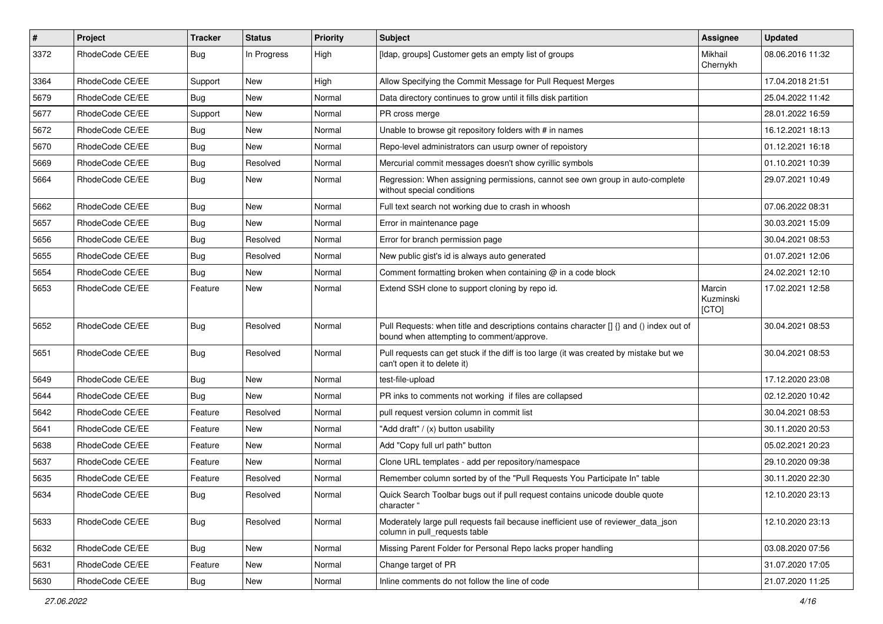| #    | Project         | <b>Tracker</b> | <b>Status</b> | <b>Priority</b> | Subject                                                                                                                              | Assignee                     | <b>Updated</b>   |
|------|-----------------|----------------|---------------|-----------------|--------------------------------------------------------------------------------------------------------------------------------------|------------------------------|------------------|
| 3372 | RhodeCode CE/EE | Bug            | In Progress   | High            | [Idap, groups] Customer gets an empty list of groups                                                                                 | Mikhail<br>Chernykh          | 08.06.2016 11:32 |
| 3364 | RhodeCode CE/EE | Support        | New           | High            | Allow Specifying the Commit Message for Pull Request Merges                                                                          |                              | 17.04.2018 21:51 |
| 5679 | RhodeCode CE/EE | Bug            | New           | Normal          | Data directory continues to grow until it fills disk partition                                                                       |                              | 25.04.2022 11:42 |
| 5677 | RhodeCode CE/EE | Support        | <b>New</b>    | Normal          | PR cross merge                                                                                                                       |                              | 28.01.2022 16:59 |
| 5672 | RhodeCode CE/EE | Bug            | New           | Normal          | Unable to browse git repository folders with # in names                                                                              |                              | 16.12.2021 18:13 |
| 5670 | RhodeCode CE/EE | Bug            | <b>New</b>    | Normal          | Repo-level administrators can usurp owner of repoistory                                                                              |                              | 01.12.2021 16:18 |
| 5669 | RhodeCode CE/EE | Bug            | Resolved      | Normal          | Mercurial commit messages doesn't show cyrillic symbols                                                                              |                              | 01.10.2021 10:39 |
| 5664 | RhodeCode CE/EE | Bug            | <b>New</b>    | Normal          | Regression: When assigning permissions, cannot see own group in auto-complete<br>without special conditions                          |                              | 29.07.2021 10:49 |
| 5662 | RhodeCode CE/EE | Bug            | New           | Normal          | Full text search not working due to crash in whoosh                                                                                  |                              | 07.06.2022 08:31 |
| 5657 | RhodeCode CE/EE | Bug            | New           | Normal          | Error in maintenance page                                                                                                            |                              | 30.03.2021 15:09 |
| 5656 | RhodeCode CE/EE | Bug            | Resolved      | Normal          | Error for branch permission page                                                                                                     |                              | 30.04.2021 08:53 |
| 5655 | RhodeCode CE/EE | <b>Bug</b>     | Resolved      | Normal          | New public gist's id is always auto generated                                                                                        |                              | 01.07.2021 12:06 |
| 5654 | RhodeCode CE/EE | Bug            | <b>New</b>    | Normal          | Comment formatting broken when containing @ in a code block                                                                          |                              | 24.02.2021 12:10 |
| 5653 | RhodeCode CE/EE | Feature        | New           | Normal          | Extend SSH clone to support cloning by repo id.                                                                                      | Marcin<br>Kuzminski<br>[CTO] | 17.02.2021 12:58 |
| 5652 | RhodeCode CE/EE | Bug            | Resolved      | Normal          | Pull Requests: when title and descriptions contains character [] {} and () index out of<br>bound when attempting to comment/approve. |                              | 30.04.2021 08:53 |
| 5651 | RhodeCode CE/EE | Bug            | Resolved      | Normal          | Pull requests can get stuck if the diff is too large (it was created by mistake but we<br>can't open it to delete it)                |                              | 30.04.2021 08:53 |
| 5649 | RhodeCode CE/EE | Bug            | <b>New</b>    | Normal          | test-file-upload                                                                                                                     |                              | 17.12.2020 23:08 |
| 5644 | RhodeCode CE/EE | Bug            | New           | Normal          | PR inks to comments not working if files are collapsed                                                                               |                              | 02.12.2020 10:42 |
| 5642 | RhodeCode CE/EE | Feature        | Resolved      | Normal          | pull request version column in commit list                                                                                           |                              | 30.04.2021 08:53 |
| 5641 | RhodeCode CE/EE | Feature        | <b>New</b>    | Normal          | "Add draft" / (x) button usability                                                                                                   |                              | 30.11.2020 20:53 |
| 5638 | RhodeCode CE/EE | Feature        | New           | Normal          | Add "Copy full url path" button                                                                                                      |                              | 05.02.2021 20:23 |
| 5637 | RhodeCode CE/EE | Feature        | New           | Normal          | Clone URL templates - add per repository/namespace                                                                                   |                              | 29.10.2020 09:38 |
| 5635 | RhodeCode CE/EE | Feature        | Resolved      | Normal          | Remember column sorted by of the "Pull Requests You Participate In" table                                                            |                              | 30.11.2020 22:30 |
| 5634 | RhodeCode CE/EE | Bug            | Resolved      | Normal          | Quick Search Toolbar bugs out if pull request contains unicode double quote<br>character "                                           |                              | 12.10.2020 23:13 |
| 5633 | RhodeCode CE/EE | Bug            | Resolved      | Normal          | Moderately large pull requests fail because inefficient use of reviewer_data_json<br>column in pull requests table                   |                              | 12.10.2020 23:13 |
| 5632 | RhodeCode CE/EE | Bug            | New           | Normal          | Missing Parent Folder for Personal Repo lacks proper handling                                                                        |                              | 03.08.2020 07:56 |
| 5631 | RhodeCode CE/EE | Feature        | New           | Normal          | Change target of PR                                                                                                                  |                              | 31.07.2020 17:05 |
| 5630 | RhodeCode CE/EE | <b>Bug</b>     | New           | Normal          | Inline comments do not follow the line of code                                                                                       |                              | 21.07.2020 11:25 |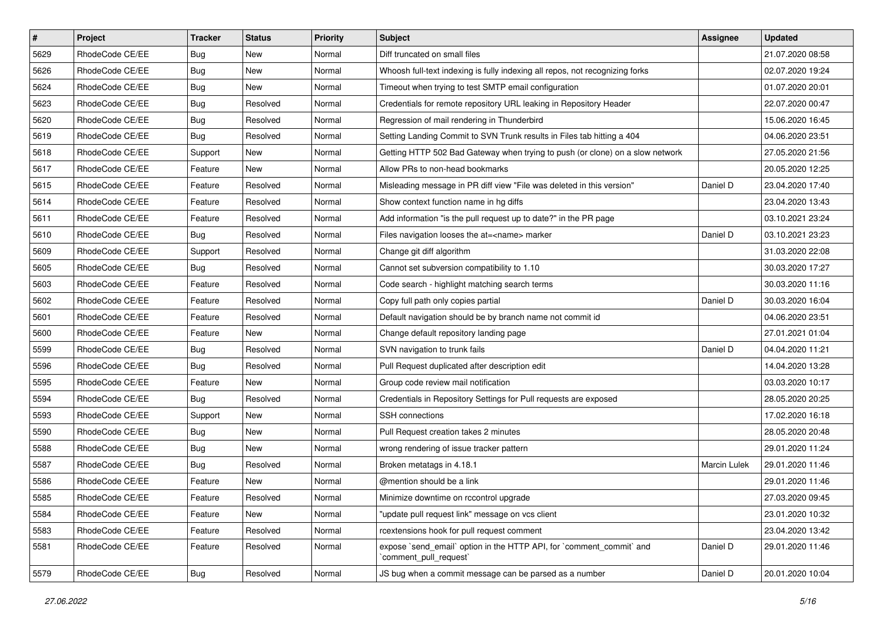| $\vert$ # | Project         | Tracker    | <b>Status</b> | <b>Priority</b> | <b>Subject</b>                                                                                 | <b>Assignee</b>     | <b>Updated</b>   |
|-----------|-----------------|------------|---------------|-----------------|------------------------------------------------------------------------------------------------|---------------------|------------------|
| 5629      | RhodeCode CE/EE | <b>Bug</b> | New           | Normal          | Diff truncated on small files                                                                  |                     | 21.07.2020 08:58 |
| 5626      | RhodeCode CE/EE | Bug        | New           | Normal          | Whoosh full-text indexing is fully indexing all repos, not recognizing forks                   |                     | 02.07.2020 19:24 |
| 5624      | RhodeCode CE/EE | <b>Bug</b> | New           | Normal          | Timeout when trying to test SMTP email configuration                                           |                     | 01.07.2020 20:01 |
| 5623      | RhodeCode CE/EE | <b>Bug</b> | Resolved      | Normal          | Credentials for remote repository URL leaking in Repository Header                             |                     | 22.07.2020 00:47 |
| 5620      | RhodeCode CE/EE | <b>Bug</b> | Resolved      | Normal          | Regression of mail rendering in Thunderbird                                                    |                     | 15.06.2020 16:45 |
| 5619      | RhodeCode CE/EE | Bug        | Resolved      | Normal          | Setting Landing Commit to SVN Trunk results in Files tab hitting a 404                         |                     | 04.06.2020 23:51 |
| 5618      | RhodeCode CE/EE | Support    | New           | Normal          | Getting HTTP 502 Bad Gateway when trying to push (or clone) on a slow network                  |                     | 27.05.2020 21:56 |
| 5617      | RhodeCode CE/EE | Feature    | New           | Normal          | Allow PRs to non-head bookmarks                                                                |                     | 20.05.2020 12:25 |
| 5615      | RhodeCode CE/EE | Feature    | Resolved      | Normal          | Misleading message in PR diff view "File was deleted in this version"                          | Daniel D            | 23.04.2020 17:40 |
| 5614      | RhodeCode CE/EE | Feature    | Resolved      | Normal          | Show context function name in hg diffs                                                         |                     | 23.04.2020 13:43 |
| 5611      | RhodeCode CE/EE | Feature    | Resolved      | Normal          | Add information "is the pull request up to date?" in the PR page                               |                     | 03.10.2021 23:24 |
| 5610      | RhodeCode CE/EE | Bug        | Resolved      | Normal          | Files navigation looses the at= <name> marker</name>                                           | Daniel D            | 03.10.2021 23:23 |
| 5609      | RhodeCode CE/EE | Support    | Resolved      | Normal          | Change git diff algorithm                                                                      |                     | 31.03.2020 22:08 |
| 5605      | RhodeCode CE/EE | <b>Bug</b> | Resolved      | Normal          | Cannot set subversion compatibility to 1.10                                                    |                     | 30.03.2020 17:27 |
| 5603      | RhodeCode CE/EE | Feature    | Resolved      | Normal          | Code search - highlight matching search terms                                                  |                     | 30.03.2020 11:16 |
| 5602      | RhodeCode CE/EE | Feature    | Resolved      | Normal          | Copy full path only copies partial                                                             | Daniel D            | 30.03.2020 16:04 |
| 5601      | RhodeCode CE/EE | Feature    | Resolved      | Normal          | Default navigation should be by branch name not commit id                                      |                     | 04.06.2020 23:51 |
| 5600      | RhodeCode CE/EE | Feature    | <b>New</b>    | Normal          | Change default repository landing page                                                         |                     | 27.01.2021 01:04 |
| 5599      | RhodeCode CE/EE | <b>Bug</b> | Resolved      | Normal          | SVN navigation to trunk fails                                                                  | Daniel D            | 04.04.2020 11:21 |
| 5596      | RhodeCode CE/EE | Bug        | Resolved      | Normal          | Pull Request duplicated after description edit                                                 |                     | 14.04.2020 13:28 |
| 5595      | RhodeCode CE/EE | Feature    | New           | Normal          | Group code review mail notification                                                            |                     | 03.03.2020 10:17 |
| 5594      | RhodeCode CE/EE | <b>Bug</b> | Resolved      | Normal          | Credentials in Repository Settings for Pull requests are exposed                               |                     | 28.05.2020 20:25 |
| 5593      | RhodeCode CE/EE | Support    | New           | Normal          | <b>SSH</b> connections                                                                         |                     | 17.02.2020 16:18 |
| 5590      | RhodeCode CE/EE | Bug        | New           | Normal          | Pull Request creation takes 2 minutes                                                          |                     | 28.05.2020 20:48 |
| 5588      | RhodeCode CE/EE | Bug        | New           | Normal          | wrong rendering of issue tracker pattern                                                       |                     | 29.01.2020 11:24 |
| 5587      | RhodeCode CE/EE | <b>Bug</b> | Resolved      | Normal          | Broken metatags in 4.18.1                                                                      | <b>Marcin Lulek</b> | 29.01.2020 11:46 |
| 5586      | RhodeCode CE/EE | Feature    | New           | Normal          | @mention should be a link                                                                      |                     | 29.01.2020 11:46 |
| 5585      | RhodeCode CE/EE | Feature    | Resolved      | Normal          | Minimize downtime on rccontrol upgrade                                                         |                     | 27.03.2020 09:45 |
| 5584      | RhodeCode CE/EE | Feature    | New           | Normal          | "update pull request link" message on vcs client                                               |                     | 23.01.2020 10:32 |
| 5583      | RhodeCode CE/EE | Feature    | Resolved      | Normal          | rcextensions hook for pull request comment                                                     |                     | 23.04.2020 13:42 |
| 5581      | RhodeCode CE/EE | Feature    | Resolved      | Normal          | expose `send_email` option in the HTTP API, for `comment_commit` and<br>`comment pull request` | Daniel D            | 29.01.2020 11:46 |
| 5579      | RhodeCode CE/EE | <b>Bug</b> | Resolved      | Normal          | JS bug when a commit message can be parsed as a number                                         | Daniel D            | 20.01.2020 10:04 |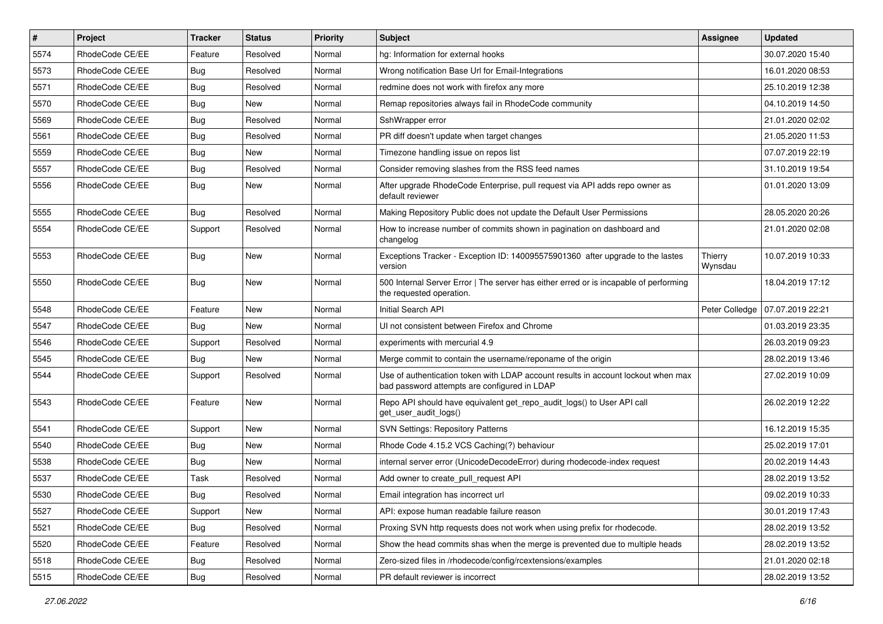| $\pmb{\#}$ | <b>Project</b>  | <b>Tracker</b> | <b>Status</b> | <b>Priority</b> | <b>Subject</b>                                                                                                                    | <b>Assignee</b>    | <b>Updated</b>   |
|------------|-----------------|----------------|---------------|-----------------|-----------------------------------------------------------------------------------------------------------------------------------|--------------------|------------------|
| 5574       | RhodeCode CE/EE | Feature        | Resolved      | Normal          | hg: Information for external hooks                                                                                                |                    | 30.07.2020 15:40 |
| 5573       | RhodeCode CE/EE | <b>Bug</b>     | Resolved      | Normal          | Wrong notification Base Url for Email-Integrations                                                                                |                    | 16.01.2020 08:53 |
| 5571       | RhodeCode CE/EE | Bug            | Resolved      | Normal          | redmine does not work with firefox any more                                                                                       |                    | 25.10.2019 12:38 |
| 5570       | RhodeCode CE/EE | <b>Bug</b>     | New           | Normal          | Remap repositories always fail in RhodeCode community                                                                             |                    | 04.10.2019 14:50 |
| 5569       | RhodeCode CE/EE | Bug            | Resolved      | Normal          | SshWrapper error                                                                                                                  |                    | 21.01.2020 02:02 |
| 5561       | RhodeCode CE/EE | Bug            | Resolved      | Normal          | PR diff doesn't update when target changes                                                                                        |                    | 21.05.2020 11:53 |
| 5559       | RhodeCode CE/EE | <b>Bug</b>     | New           | Normal          | Timezone handling issue on repos list                                                                                             |                    | 07.07.2019 22:19 |
| 5557       | RhodeCode CE/EE | Bug            | Resolved      | Normal          | Consider removing slashes from the RSS feed names                                                                                 |                    | 31.10.2019 19:54 |
| 5556       | RhodeCode CE/EE | Bug            | New           | Normal          | After upgrade RhodeCode Enterprise, pull request via API adds repo owner as<br>default reviewer                                   |                    | 01.01.2020 13:09 |
| 5555       | RhodeCode CE/EE | Bug            | Resolved      | Normal          | Making Repository Public does not update the Default User Permissions                                                             |                    | 28.05.2020 20:26 |
| 5554       | RhodeCode CE/EE | Support        | Resolved      | Normal          | How to increase number of commits shown in pagination on dashboard and<br>changelog                                               |                    | 21.01.2020 02:08 |
| 5553       | RhodeCode CE/EE | Bug            | New           | Normal          | Exceptions Tracker - Exception ID: 140095575901360 after upgrade to the lastes<br>version                                         | Thierry<br>Wynsdau | 10.07.2019 10:33 |
| 5550       | RhodeCode CE/EE | Bug            | New           | Normal          | 500 Internal Server Error   The server has either erred or is incapable of performing<br>the requested operation.                 |                    | 18.04.2019 17:12 |
| 5548       | RhodeCode CE/EE | Feature        | <b>New</b>    | Normal          | Initial Search API                                                                                                                | Peter Colledge     | 07.07.2019 22:21 |
| 5547       | RhodeCode CE/EE | Bug            | New           | Normal          | UI not consistent between Firefox and Chrome                                                                                      |                    | 01.03.2019 23:35 |
| 5546       | RhodeCode CE/EE | Support        | Resolved      | Normal          | experiments with mercurial 4.9                                                                                                    |                    | 26.03.2019 09:23 |
| 5545       | RhodeCode CE/EE | Bug            | New           | Normal          | Merge commit to contain the username/reponame of the origin                                                                       |                    | 28.02.2019 13:46 |
| 5544       | RhodeCode CE/EE | Support        | Resolved      | Normal          | Use of authentication token with LDAP account results in account lockout when max<br>bad password attempts are configured in LDAP |                    | 27.02.2019 10:09 |
| 5543       | RhodeCode CE/EE | Feature        | New           | Normal          | Repo API should have equivalent get_repo_audit_logs() to User API call<br>get user audit logs()                                   |                    | 26.02.2019 12:22 |
| 5541       | RhodeCode CE/EE | Support        | <b>New</b>    | Normal          | <b>SVN Settings: Repository Patterns</b>                                                                                          |                    | 16.12.2019 15:35 |
| 5540       | RhodeCode CE/EE | Bug            | New           | Normal          | Rhode Code 4.15.2 VCS Caching(?) behaviour                                                                                        |                    | 25.02.2019 17:01 |
| 5538       | RhodeCode CE/EE | <b>Bug</b>     | New           | Normal          | internal server error (UnicodeDecodeError) during rhodecode-index request                                                         |                    | 20.02.2019 14:43 |
| 5537       | RhodeCode CE/EE | Task           | Resolved      | Normal          | Add owner to create_pull_request API                                                                                              |                    | 28.02.2019 13:52 |
| 5530       | RhodeCode CE/EE | Bug            | Resolved      | Normal          | Email integration has incorrect url                                                                                               |                    | 09.02.2019 10:33 |
| 5527       | RhodeCode CE/EE | Support        | New           | Normal          | API: expose human readable failure reason                                                                                         |                    | 30.01.2019 17:43 |
| 5521       | RhodeCode CE/EE | <b>Bug</b>     | Resolved      | Normal          | Proxing SVN http requests does not work when using prefix for rhodecode.                                                          |                    | 28.02.2019 13:52 |
| 5520       | RhodeCode CE/EE | Feature        | Resolved      | Normal          | Show the head commits shas when the merge is prevented due to multiple heads                                                      |                    | 28.02.2019 13:52 |
| 5518       | RhodeCode CE/EE | Bug            | Resolved      | Normal          | Zero-sized files in /rhodecode/config/rcextensions/examples                                                                       |                    | 21.01.2020 02:18 |
| 5515       | RhodeCode CE/EE | Bug            | Resolved      | Normal          | PR default reviewer is incorrect                                                                                                  |                    | 28.02.2019 13:52 |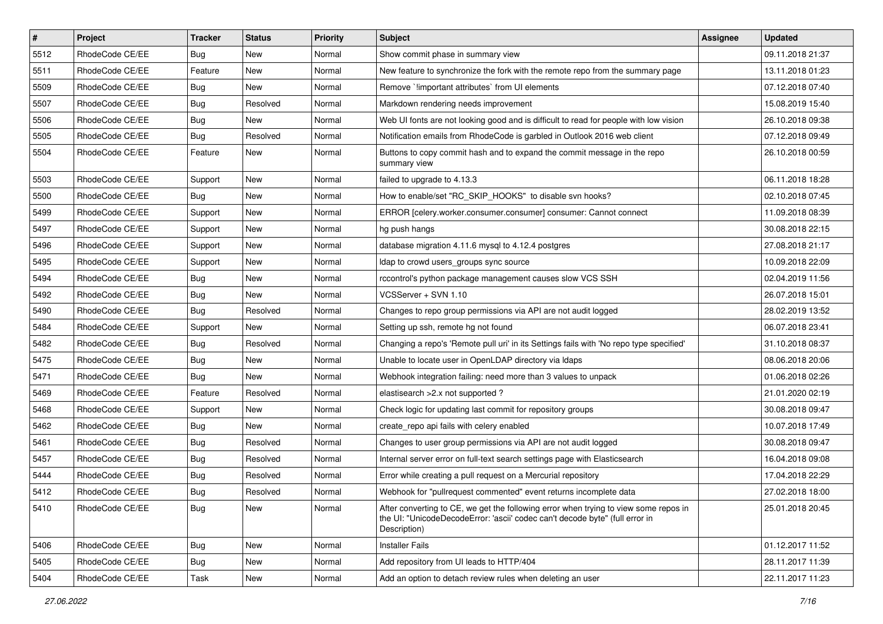| $\vert$ # | Project         | Tracker    | <b>Status</b> | <b>Priority</b> | <b>Subject</b>                                                                                                                                                                       | <b>Assignee</b> | <b>Updated</b>   |
|-----------|-----------------|------------|---------------|-----------------|--------------------------------------------------------------------------------------------------------------------------------------------------------------------------------------|-----------------|------------------|
| 5512      | RhodeCode CE/EE | <b>Bug</b> | New           | Normal          | Show commit phase in summary view                                                                                                                                                    |                 | 09.11.2018 21:37 |
| 5511      | RhodeCode CE/EE | Feature    | New           | Normal          | New feature to synchronize the fork with the remote repo from the summary page                                                                                                       |                 | 13.11.2018 01:23 |
| 5509      | RhodeCode CE/EE | <b>Bug</b> | New           | Normal          | Remove `limportant attributes` from UI elements                                                                                                                                      |                 | 07.12.2018 07:40 |
| 5507      | RhodeCode CE/EE | <b>Bug</b> | Resolved      | Normal          | Markdown rendering needs improvement                                                                                                                                                 |                 | 15.08.2019 15:40 |
| 5506      | RhodeCode CE/EE | <b>Bug</b> | New           | Normal          | Web UI fonts are not looking good and is difficult to read for people with low vision                                                                                                |                 | 26.10.2018 09:38 |
| 5505      | RhodeCode CE/EE | Bug        | Resolved      | Normal          | Notification emails from RhodeCode is garbled in Outlook 2016 web client                                                                                                             |                 | 07.12.2018 09:49 |
| 5504      | RhodeCode CE/EE | Feature    | New           | Normal          | Buttons to copy commit hash and to expand the commit message in the repo<br>summary view                                                                                             |                 | 26.10.2018 00:59 |
| 5503      | RhodeCode CE/EE | Support    | New           | Normal          | failed to upgrade to 4.13.3                                                                                                                                                          |                 | 06.11.2018 18:28 |
| 5500      | RhodeCode CE/EE | <b>Bug</b> | New           | Normal          | How to enable/set "RC_SKIP_HOOKS" to disable svn hooks?                                                                                                                              |                 | 02.10.2018 07:45 |
| 5499      | RhodeCode CE/EE | Support    | New           | Normal          | ERROR [celery.worker.consumer.consumer] consumer: Cannot connect                                                                                                                     |                 | 11.09.2018 08:39 |
| 5497      | RhodeCode CE/EE | Support    | New           | Normal          | hg push hangs                                                                                                                                                                        |                 | 30.08.2018 22:15 |
| 5496      | RhodeCode CE/EE | Support    | New           | Normal          | database migration 4.11.6 mysql to 4.12.4 postgres                                                                                                                                   |                 | 27.08.2018 21:17 |
| 5495      | RhodeCode CE/EE | Support    | New           | Normal          | Idap to crowd users groups sync source                                                                                                                                               |                 | 10.09.2018 22:09 |
| 5494      | RhodeCode CE/EE | <b>Bug</b> | New           | Normal          | rccontrol's python package management causes slow VCS SSH                                                                                                                            |                 | 02.04.2019 11:56 |
| 5492      | RhodeCode CE/EE | <b>Bug</b> | New           | Normal          | VCSServer + SVN 1.10                                                                                                                                                                 |                 | 26.07.2018 15:01 |
| 5490      | RhodeCode CE/EE | <b>Bug</b> | Resolved      | Normal          | Changes to repo group permissions via API are not audit logged                                                                                                                       |                 | 28.02.2019 13:52 |
| 5484      | RhodeCode CE/EE | Support    | New           | Normal          | Setting up ssh, remote hg not found                                                                                                                                                  |                 | 06.07.2018 23:41 |
| 5482      | RhodeCode CE/EE | <b>Bug</b> | Resolved      | Normal          | Changing a repo's 'Remote pull uri' in its Settings fails with 'No repo type specified'                                                                                              |                 | 31.10.2018 08:37 |
| 5475      | RhodeCode CE/EE | <b>Bug</b> | New           | Normal          | Unable to locate user in OpenLDAP directory via Idaps                                                                                                                                |                 | 08.06.2018 20:06 |
| 5471      | RhodeCode CE/EE | <b>Bug</b> | <b>New</b>    | Normal          | Webhook integration failing: need more than 3 values to unpack                                                                                                                       |                 | 01.06.2018 02:26 |
| 5469      | RhodeCode CE/EE | Feature    | Resolved      | Normal          | elastisearch > 2.x not supported ?                                                                                                                                                   |                 | 21.01.2020 02:19 |
| 5468      | RhodeCode CE/EE | Support    | New           | Normal          | Check logic for updating last commit for repository groups                                                                                                                           |                 | 30.08.2018 09:47 |
| 5462      | RhodeCode CE/EE | Bug        | New           | Normal          | create_repo api fails with celery enabled                                                                                                                                            |                 | 10.07.2018 17:49 |
| 5461      | RhodeCode CE/EE | <b>Bug</b> | Resolved      | Normal          | Changes to user group permissions via API are not audit logged                                                                                                                       |                 | 30.08.2018 09:47 |
| 5457      | RhodeCode CE/EE | <b>Bug</b> | Resolved      | Normal          | Internal server error on full-text search settings page with Elasticsearch                                                                                                           |                 | 16.04.2018 09:08 |
| 5444      | RhodeCode CE/EE | <b>Bug</b> | Resolved      | Normal          | Error while creating a pull request on a Mercurial repository                                                                                                                        |                 | 17.04.2018 22:29 |
| 5412      | RhodeCode CE/EE | <b>Bug</b> | Resolved      | Normal          | Webhook for "pullrequest commented" event returns incomplete data                                                                                                                    |                 | 27.02.2018 18:00 |
| 5410      | RhodeCode CE/EE | <b>Bug</b> | New           | Normal          | After converting to CE, we get the following error when trying to view some repos in<br>the UI: "UnicodeDecodeError: 'ascii' codec can't decode byte" (full error in<br>Description) |                 | 25.01.2018 20:45 |
| 5406      | RhodeCode CE/EE | Bug        | New           | Normal          | <b>Installer Fails</b>                                                                                                                                                               |                 | 01.12.2017 11:52 |
| 5405      | RhodeCode CE/EE | Bug        | New           | Normal          | Add repository from UI leads to HTTP/404                                                                                                                                             |                 | 28.11.2017 11:39 |
| 5404      | RhodeCode CE/EE | Task       | New           | Normal          | Add an option to detach review rules when deleting an user                                                                                                                           |                 | 22.11.2017 11:23 |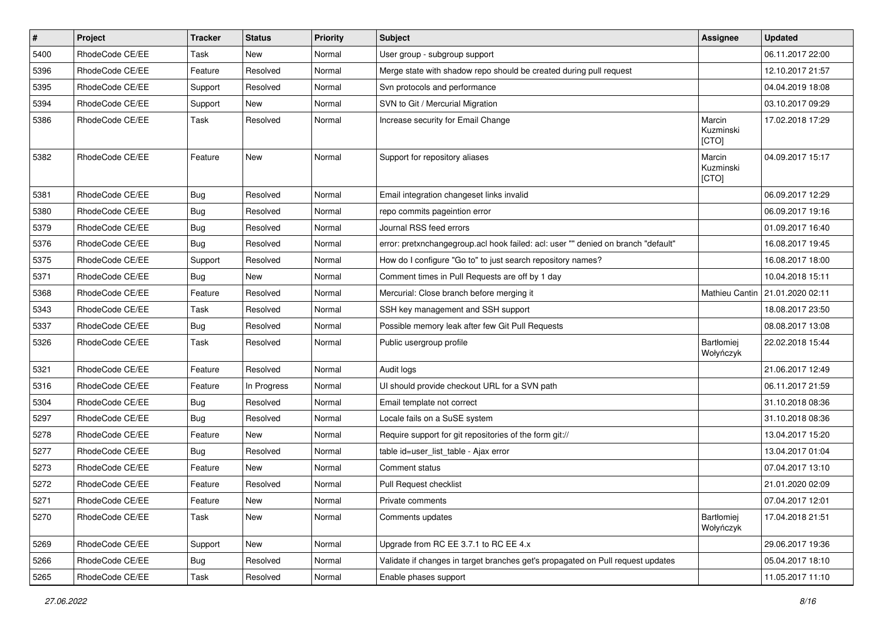| $\pmb{\#}$ | Project         | <b>Tracker</b> | <b>Status</b> | <b>Priority</b> | <b>Subject</b>                                                                    | <b>Assignee</b>                | <b>Updated</b>   |
|------------|-----------------|----------------|---------------|-----------------|-----------------------------------------------------------------------------------|--------------------------------|------------------|
| 5400       | RhodeCode CE/EE | Task           | <b>New</b>    | Normal          | User group - subgroup support                                                     |                                | 06.11.2017 22:00 |
| 5396       | RhodeCode CE/EE | Feature        | Resolved      | Normal          | Merge state with shadow repo should be created during pull request                |                                | 12.10.2017 21:57 |
| 5395       | RhodeCode CE/EE | Support        | Resolved      | Normal          | Svn protocols and performance                                                     |                                | 04.04.2019 18:08 |
| 5394       | RhodeCode CE/EE | Support        | New           | Normal          | SVN to Git / Mercurial Migration                                                  |                                | 03.10.2017 09:29 |
| 5386       | RhodeCode CE/EE | Task           | Resolved      | Normal          | Increase security for Email Change                                                | Marcin<br>Kuzminski<br>[CTO]   | 17.02.2018 17:29 |
| 5382       | RhodeCode CE/EE | Feature        | <b>New</b>    | Normal          | Support for repository aliases                                                    | Marcin<br>Kuzminski<br>[CTO]   | 04.09.2017 15:17 |
| 5381       | RhodeCode CE/EE | <b>Bug</b>     | Resolved      | Normal          | Email integration changeset links invalid                                         |                                | 06.09.2017 12:29 |
| 5380       | RhodeCode CE/EE | <b>Bug</b>     | Resolved      | Normal          | repo commits pageintion error                                                     |                                | 06.09.2017 19:16 |
| 5379       | RhodeCode CE/EE | <b>Bug</b>     | Resolved      | Normal          | Journal RSS feed errors                                                           |                                | 01.09.2017 16:40 |
| 5376       | RhodeCode CE/EE | Bug            | Resolved      | Normal          | error: pretxnchangegroup.acl hook failed: acl: user "" denied on branch "default" |                                | 16.08.2017 19:45 |
| 5375       | RhodeCode CE/EE | Support        | Resolved      | Normal          | How do I configure "Go to" to just search repository names?                       |                                | 16.08.2017 18:00 |
| 5371       | RhodeCode CE/EE | Bug            | New           | Normal          | Comment times in Pull Requests are off by 1 day                                   |                                | 10.04.2018 15:11 |
| 5368       | RhodeCode CE/EE | Feature        | Resolved      | Normal          | Mercurial: Close branch before merging it                                         | Mathieu Cantin                 | 21.01.2020 02:11 |
| 5343       | RhodeCode CE/EE | <b>Task</b>    | Resolved      | Normal          | SSH key management and SSH support                                                |                                | 18.08.2017 23:50 |
| 5337       | RhodeCode CE/EE | <b>Bug</b>     | Resolved      | Normal          | Possible memory leak after few Git Pull Requests                                  |                                | 08.08.2017 13:08 |
| 5326       | RhodeCode CE/EE | Task           | Resolved      | Normal          | Public usergroup profile                                                          | <b>Bartłomiej</b><br>Wołyńczyk | 22.02.2018 15:44 |
| 5321       | RhodeCode CE/EE | Feature        | Resolved      | Normal          | Audit logs                                                                        |                                | 21.06.2017 12:49 |
| 5316       | RhodeCode CE/EE | Feature        | In Progress   | Normal          | UI should provide checkout URL for a SVN path                                     |                                | 06.11.2017 21:59 |
| 5304       | RhodeCode CE/EE | Bug            | Resolved      | Normal          | Email template not correct                                                        |                                | 31.10.2018 08:36 |
| 5297       | RhodeCode CE/EE | Bug            | Resolved      | Normal          | Locale fails on a SuSE system                                                     |                                | 31.10.2018 08:36 |
| 5278       | RhodeCode CE/EE | Feature        | <b>New</b>    | Normal          | Require support for git repositories of the form git://                           |                                | 13.04.2017 15:20 |
| 5277       | RhodeCode CE/EE | <b>Bug</b>     | Resolved      | Normal          | table id=user list table - Ajax error                                             |                                | 13.04.2017 01:04 |
| 5273       | RhodeCode CE/EE | Feature        | New           | Normal          | Comment status                                                                    |                                | 07.04.2017 13:10 |
| 5272       | RhodeCode CE/EE | Feature        | Resolved      | Normal          | Pull Request checklist                                                            |                                | 21.01.2020 02:09 |
| 5271       | RhodeCode CE/EE | Feature        | New           | Normal          | Private comments                                                                  |                                | 07.04.2017 12:01 |
| 5270       | RhodeCode CE/EE | Task           | <b>New</b>    | Normal          | Comments updates                                                                  | Bartłomiej<br>Wołyńczyk        | 17.04.2018 21:51 |
| 5269       | RhodeCode CE/EE | Support        | New           | Normal          | Upgrade from RC EE 3.7.1 to RC EE 4.x                                             |                                | 29.06.2017 19:36 |
| 5266       | RhodeCode CE/EE | <b>Bug</b>     | Resolved      | Normal          | Validate if changes in target branches get's propagated on Pull request updates   |                                | 05.04.2017 18:10 |
| 5265       | RhodeCode CE/EE | Task           | Resolved      | Normal          | Enable phases support                                                             |                                | 11.05.2017 11:10 |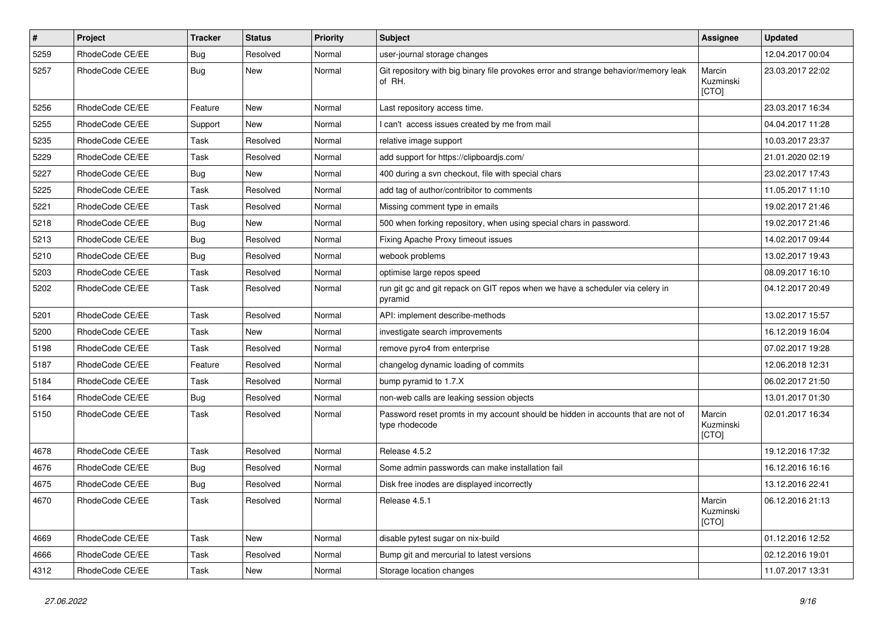| $\pmb{\#}$ | Project         | <b>Tracker</b> | <b>Status</b> | <b>Priority</b> | Subject                                                                                            | Assignee                     | <b>Updated</b>   |
|------------|-----------------|----------------|---------------|-----------------|----------------------------------------------------------------------------------------------------|------------------------------|------------------|
| 5259       | RhodeCode CE/EE | <b>Bug</b>     | Resolved      | Normal          | user-journal storage changes                                                                       |                              | 12.04.2017 00:04 |
| 5257       | RhodeCode CE/EE | <b>Bug</b>     | New           | Normal          | Git repository with big binary file provokes error and strange behavior/memory leak<br>of RH.      | Marcin<br>Kuzminski<br>[CTO] | 23.03.2017 22:02 |
| 5256       | RhodeCode CE/EE | Feature        | <b>New</b>    | Normal          | Last repository access time.                                                                       |                              | 23.03.2017 16:34 |
| 5255       | RhodeCode CE/EE | Support        | <b>New</b>    | Normal          | I can't access issues created by me from mail                                                      |                              | 04.04.2017 11:28 |
| 5235       | RhodeCode CE/EE | Task           | Resolved      | Normal          | relative image support                                                                             |                              | 10.03.2017 23:37 |
| 5229       | RhodeCode CE/EE | Task           | Resolved      | Normal          | add support for https://clipboardjs.com/                                                           |                              | 21.01.2020 02:19 |
| 5227       | RhodeCode CE/EE | <b>Bug</b>     | <b>New</b>    | Normal          | 400 during a svn checkout, file with special chars                                                 |                              | 23.02.2017 17:43 |
| 5225       | RhodeCode CE/EE | Task           | Resolved      | Normal          | add tag of author/contribitor to comments                                                          |                              | 11.05.2017 11:10 |
| 5221       | RhodeCode CE/EE | Task           | Resolved      | Normal          | Missing comment type in emails                                                                     |                              | 19.02.2017 21:46 |
| 5218       | RhodeCode CE/EE | <b>Bug</b>     | New           | Normal          | 500 when forking repository, when using special chars in password.                                 |                              | 19.02.2017 21:46 |
| 5213       | RhodeCode CE/EE | Bug            | Resolved      | Normal          | Fixing Apache Proxy timeout issues                                                                 |                              | 14.02.2017 09:44 |
| 5210       | RhodeCode CE/EE | Bug            | Resolved      | Normal          | webook problems                                                                                    |                              | 13.02.2017 19:43 |
| 5203       | RhodeCode CE/EE | Task           | Resolved      | Normal          | optimise large repos speed                                                                         |                              | 08.09.2017 16:10 |
| 5202       | RhodeCode CE/EE | Task           | Resolved      | Normal          | run git gc and git repack on GIT repos when we have a scheduler via celery in<br>pyramid           |                              | 04.12.2017 20:49 |
| 5201       | RhodeCode CE/EE | Task           | Resolved      | Normal          | API: implement describe-methods                                                                    |                              | 13.02.2017 15:57 |
| 5200       | RhodeCode CE/EE | Task           | New           | Normal          | investigate search improvements                                                                    |                              | 16.12.2019 16:04 |
| 5198       | RhodeCode CE/EE | Task           | Resolved      | Normal          | remove pyro4 from enterprise                                                                       |                              | 07.02.2017 19:28 |
| 5187       | RhodeCode CE/EE | Feature        | Resolved      | Normal          | changelog dynamic loading of commits                                                               |                              | 12.06.2018 12:31 |
| 5184       | RhodeCode CE/EE | Task           | Resolved      | Normal          | bump pyramid to 1.7.X                                                                              |                              | 06.02.2017 21:50 |
| 5164       | RhodeCode CE/EE | <b>Bug</b>     | Resolved      | Normal          | non-web calls are leaking session objects                                                          |                              | 13.01.2017 01:30 |
| 5150       | RhodeCode CE/EE | Task           | Resolved      | Normal          | Password reset promts in my account should be hidden in accounts that are not of<br>type rhodecode | Marcin<br>Kuzminski<br>[CTO] | 02.01.2017 16:34 |
| 4678       | RhodeCode CE/EE | Task           | Resolved      | Normal          | Release 4.5.2                                                                                      |                              | 19.12.2016 17:32 |
| 4676       | RhodeCode CE/EE | Bug            | Resolved      | Normal          | Some admin passwords can make installation fail                                                    |                              | 16.12.2016 16:16 |
| 4675       | RhodeCode CE/EE | Bug            | Resolved      | Normal          | Disk free inodes are displayed incorrectly                                                         |                              | 13.12.2016 22:41 |
| 4670       | RhodeCode CE/EE | Task           | Resolved      | Normal          | Release 4.5.1                                                                                      | Marcin<br>Kuzminski<br>[CTO] | 06.12.2016 21:13 |
| 4669       | RhodeCode CE/EE | Task           | New           | Normal          | disable pytest sugar on nix-build                                                                  |                              | 01.12.2016 12:52 |
| 4666       | RhodeCode CE/EE | Task           | Resolved      | Normal          | Bump git and mercurial to latest versions                                                          |                              | 02.12.2016 19:01 |
| 4312       | RhodeCode CE/EE | Task           | New           | Normal          | Storage location changes                                                                           |                              | 11.07.2017 13:31 |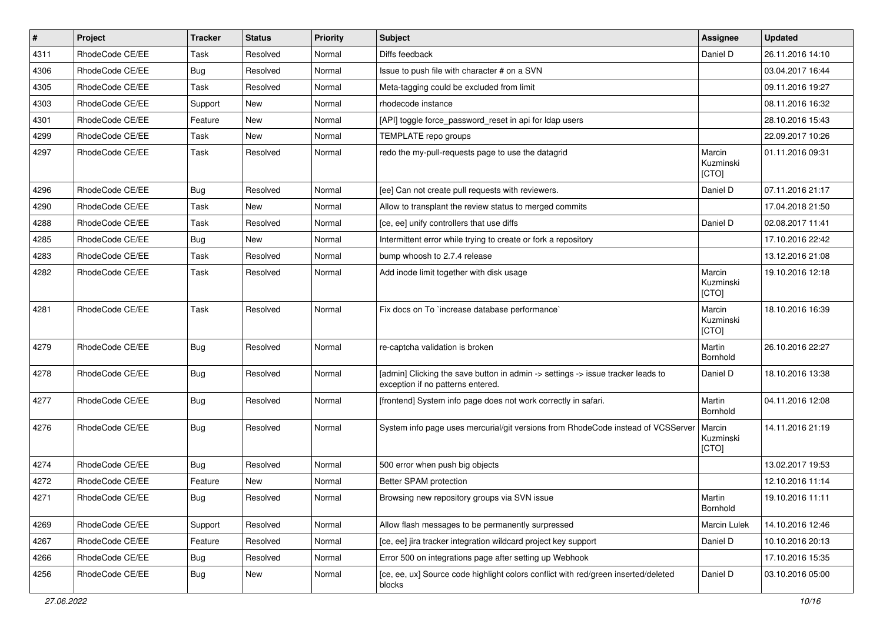| $\vert$ # | Project         | <b>Tracker</b> | <b>Status</b> | <b>Priority</b> | <b>Subject</b>                                                                                                       | Assignee                     | <b>Updated</b>   |
|-----------|-----------------|----------------|---------------|-----------------|----------------------------------------------------------------------------------------------------------------------|------------------------------|------------------|
| 4311      | RhodeCode CE/EE | Task           | Resolved      | Normal          | Diffs feedback                                                                                                       | Daniel D                     | 26.11.2016 14:10 |
| 4306      | RhodeCode CE/EE | Bug            | Resolved      | Normal          | Issue to push file with character # on a SVN                                                                         |                              | 03.04.2017 16:44 |
| 4305      | RhodeCode CE/EE | Task           | Resolved      | Normal          | Meta-tagging could be excluded from limit                                                                            |                              | 09.11.2016 19:27 |
| 4303      | RhodeCode CE/EE | Support        | New           | Normal          | rhodecode instance                                                                                                   |                              | 08.11.2016 16:32 |
| 4301      | RhodeCode CE/EE | Feature        | <b>New</b>    | Normal          | [API] toggle force_password_reset in api for Idap users                                                              |                              | 28.10.2016 15:43 |
| 4299      | RhodeCode CE/EE | Task           | <b>New</b>    | Normal          | TEMPLATE repo groups                                                                                                 |                              | 22.09.2017 10:26 |
| 4297      | RhodeCode CE/EE | Task           | Resolved      | Normal          | redo the my-pull-requests page to use the datagrid                                                                   | Marcin<br>Kuzminski<br>[CTO] | 01.11.2016 09:31 |
| 4296      | RhodeCode CE/EE | Bug            | Resolved      | Normal          | [ee] Can not create pull requests with reviewers.                                                                    | Daniel D                     | 07.11.2016 21:17 |
| 4290      | RhodeCode CE/EE | Task           | <b>New</b>    | Normal          | Allow to transplant the review status to merged commits                                                              |                              | 17.04.2018 21:50 |
| 4288      | RhodeCode CE/EE | Task           | Resolved      | Normal          | [ce, ee] unify controllers that use diffs                                                                            | Daniel D                     | 02.08.2017 11:41 |
| 4285      | RhodeCode CE/EE | Bug            | <b>New</b>    | Normal          | Intermittent error while trying to create or fork a repository                                                       |                              | 17.10.2016 22:42 |
| 4283      | RhodeCode CE/EE | Task           | Resolved      | Normal          | bump whoosh to 2.7.4 release                                                                                         |                              | 13.12.2016 21:08 |
| 4282      | RhodeCode CE/EE | Task           | Resolved      | Normal          | Add inode limit together with disk usage                                                                             | Marcin<br>Kuzminski<br>[CTO] | 19.10.2016 12:18 |
| 4281      | RhodeCode CE/EE | Task           | Resolved      | Normal          | Fix docs on To `increase database performance`                                                                       | Marcin<br>Kuzminski<br>[CTO] | 18.10.2016 16:39 |
| 4279      | RhodeCode CE/EE | Bug            | Resolved      | Normal          | re-captcha validation is broken                                                                                      | Martin<br>Bornhold           | 26.10.2016 22:27 |
| 4278      | RhodeCode CE/EE | Bug            | Resolved      | Normal          | [admin] Clicking the save button in admin -> settings -> issue tracker leads to<br>exception if no patterns entered. | Daniel D                     | 18.10.2016 13:38 |
| 4277      | RhodeCode CE/EE | Bug            | Resolved      | Normal          | [frontend] System info page does not work correctly in safari.                                                       | Martin<br>Bornhold           | 04.11.2016 12:08 |
| 4276      | RhodeCode CE/EE | Bug            | Resolved      | Normal          | System info page uses mercurial/git versions from RhodeCode instead of VCSServer                                     | Marcin<br>Kuzminski<br>[CTO] | 14.11.2016 21:19 |
| 4274      | RhodeCode CE/EE | Bug            | Resolved      | Normal          | 500 error when push big objects                                                                                      |                              | 13.02.2017 19:53 |
| 4272      | RhodeCode CE/EE | Feature        | New           | Normal          | Better SPAM protection                                                                                               |                              | 12.10.2016 11:14 |
| 4271      | RhodeCode CE/EE | Bug            | Resolved      | Normal          | Browsing new repository groups via SVN issue                                                                         | Martin<br>Bornhold           | 19.10.2016 11:11 |
| 4269      | RhodeCode CE/EE | Support        | Resolved      | Normal          | Allow flash messages to be permanently surpressed                                                                    | Marcin Lulek                 | 14.10.2016 12:46 |
| 4267      | RhodeCode CE/EE | Feature        | Resolved      | Normal          | [ce, ee] jira tracker integration wildcard project key support                                                       | Daniel D                     | 10.10.2016 20:13 |
| 4266      | RhodeCode CE/EE | Bug            | Resolved      | Normal          | Error 500 on integrations page after setting up Webhook                                                              |                              | 17.10.2016 15:35 |
| 4256      | RhodeCode CE/EE | <b>Bug</b>     | New           | Normal          | [ce, ee, ux] Source code highlight colors conflict with red/green inserted/deleted<br>blocks                         | Daniel D                     | 03.10.2016 05:00 |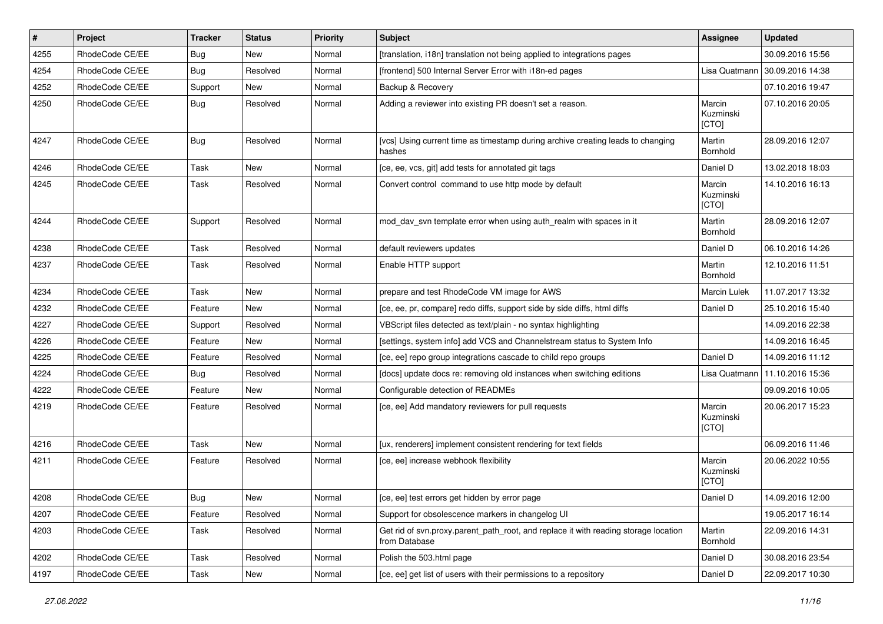| $\vert$ # | Project         | <b>Tracker</b> | <b>Status</b> | <b>Priority</b> | <b>Subject</b>                                                                                       | Assignee                     | <b>Updated</b>   |
|-----------|-----------------|----------------|---------------|-----------------|------------------------------------------------------------------------------------------------------|------------------------------|------------------|
| 4255      | RhodeCode CE/EE | Bug            | New           | Normal          | [translation, i18n] translation not being applied to integrations pages                              |                              | 30.09.2016 15:56 |
| 4254      | RhodeCode CE/EE | Bug            | Resolved      | Normal          | [frontend] 500 Internal Server Error with i18n-ed pages                                              | Lisa Quatmann                | 30.09.2016 14:38 |
| 4252      | RhodeCode CE/EE | Support        | New           | Normal          | Backup & Recovery                                                                                    |                              | 07.10.2016 19:47 |
| 4250      | RhodeCode CE/EE | Bug            | Resolved      | Normal          | Adding a reviewer into existing PR doesn't set a reason.                                             | Marcin<br>Kuzminski<br>[CTO] | 07.10.2016 20:05 |
| 4247      | RhodeCode CE/EE | Bug            | Resolved      | Normal          | [vcs] Using current time as timestamp during archive creating leads to changing<br>hashes            | Martin<br>Bornhold           | 28.09.2016 12:07 |
| 4246      | RhodeCode CE/EE | <b>Task</b>    | <b>New</b>    | Normal          | [ce, ee, vcs, git] add tests for annotated git tags                                                  | Daniel D                     | 13.02.2018 18:03 |
| 4245      | RhodeCode CE/EE | Task           | Resolved      | Normal          | Convert control command to use http mode by default                                                  | Marcin<br>Kuzminski<br>[CTO] | 14.10.2016 16:13 |
| 4244      | RhodeCode CE/EE | Support        | Resolved      | Normal          | mod_dav_svn template error when using auth_realm with spaces in it                                   | Martin<br>Bornhold           | 28.09.2016 12:07 |
| 4238      | RhodeCode CE/EE | Task           | Resolved      | Normal          | default reviewers updates                                                                            | Daniel D                     | 06.10.2016 14:26 |
| 4237      | RhodeCode CE/EE | Task           | Resolved      | Normal          | Enable HTTP support                                                                                  | Martin<br>Bornhold           | 12.10.2016 11:51 |
| 4234      | RhodeCode CE/EE | Task           | New           | Normal          | prepare and test RhodeCode VM image for AWS                                                          | Marcin Lulek                 | 11.07.2017 13:32 |
| 4232      | RhodeCode CE/EE | Feature        | New           | Normal          | [ce, ee, pr, compare] redo diffs, support side by side diffs, html diffs                             | Daniel D                     | 25.10.2016 15:40 |
| 4227      | RhodeCode CE/EE | Support        | Resolved      | Normal          | VBScript files detected as text/plain - no syntax highlighting                                       |                              | 14.09.2016 22:38 |
| 4226      | RhodeCode CE/EE | Feature        | New           | Normal          | [settings, system info] add VCS and Channelstream status to System Info                              |                              | 14.09.2016 16:45 |
| 4225      | RhodeCode CE/EE | Feature        | Resolved      | Normal          | [ce, ee] repo group integrations cascade to child repo groups                                        | Daniel D                     | 14.09.2016 11:12 |
| 4224      | RhodeCode CE/EE | Bug            | Resolved      | Normal          | [docs] update docs re: removing old instances when switching editions                                | Lisa Quatmann                | 11.10.2016 15:36 |
| 4222      | RhodeCode CE/EE | Feature        | New           | Normal          | Configurable detection of READMEs                                                                    |                              | 09.09.2016 10:05 |
| 4219      | RhodeCode CE/EE | Feature        | Resolved      | Normal          | [ce, ee] Add mandatory reviewers for pull requests                                                   | Marcin<br>Kuzminski<br>[CTO] | 20.06.2017 15:23 |
| 4216      | RhodeCode CE/EE | <b>Task</b>    | <b>New</b>    | Normal          | [ux, renderers] implement consistent rendering for text fields                                       |                              | 06.09.2016 11:46 |
| 4211      | RhodeCode CE/EE | Feature        | Resolved      | Normal          | [ce, ee] increase webhook flexibility                                                                | Marcin<br>Kuzminski<br>[CTO] | 20.06.2022 10:55 |
| 4208      | RhodeCode CE/EE | <b>Bug</b>     | New           | Normal          | [ce, ee] test errors get hidden by error page                                                        | Daniel D                     | 14.09.2016 12:00 |
| 4207      | RhodeCode CE/EE | Feature        | Resolved      | Normal          | Support for obsolescence markers in changelog UI                                                     |                              | 19.05.2017 16:14 |
| 4203      | RhodeCode CE/EE | Task           | Resolved      | Normal          | Get rid of svn.proxy.parent path root, and replace it with reading storage location<br>from Database | Martin<br>Bornhold           | 22.09.2016 14:31 |
| 4202      | RhodeCode CE/EE | Task           | Resolved      | Normal          | Polish the 503.html page                                                                             | Daniel D                     | 30.08.2016 23:54 |
| 4197      | RhodeCode CE/EE | Task           | New           | Normal          | [ce, ee] get list of users with their permissions to a repository                                    | Daniel D                     | 22.09.2017 10:30 |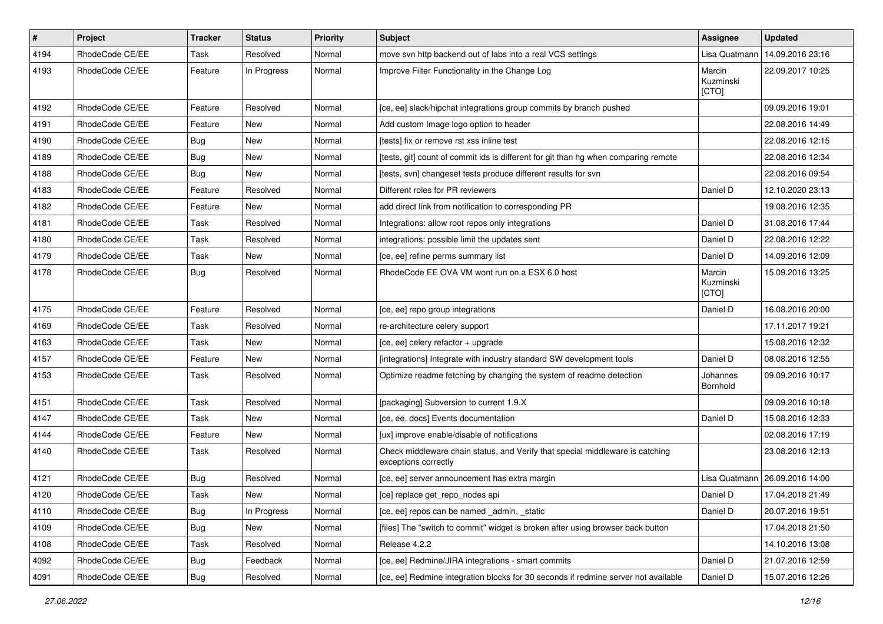| $\vert$ # | Project         | Tracker    | <b>Status</b> | <b>Priority</b> | Subject                                                                                               | Assignee                     | <b>Updated</b>   |
|-----------|-----------------|------------|---------------|-----------------|-------------------------------------------------------------------------------------------------------|------------------------------|------------------|
| 4194      | RhodeCode CE/EE | Task       | Resolved      | Normal          | move svn http backend out of labs into a real VCS settings                                            | Lisa Quatmann                | 14.09.2016 23:16 |
| 4193      | RhodeCode CE/EE | Feature    | In Progress   | Normal          | Improve Filter Functionality in the Change Log                                                        | Marcin<br>Kuzminski<br>[CTO] | 22.09.2017 10:25 |
| 4192      | RhodeCode CE/EE | Feature    | Resolved      | Normal          | [ce, ee] slack/hipchat integrations group commits by branch pushed                                    |                              | 09.09.2016 19:01 |
| 4191      | RhodeCode CE/EE | Feature    | New           | Normal          | Add custom Image logo option to header                                                                |                              | 22.08.2016 14:49 |
| 4190      | RhodeCode CE/EE | <b>Bug</b> | New           | Normal          | [tests] fix or remove rst xss inline test                                                             |                              | 22.08.2016 12:15 |
| 4189      | RhodeCode CE/EE | <b>Bug</b> | New           | Normal          | [tests, git] count of commit ids is different for git than hg when comparing remote                   |                              | 22.08.2016 12:34 |
| 4188      | RhodeCode CE/EE | <b>Bug</b> | New           | Normal          | [tests, svn] changeset tests produce different results for svn                                        |                              | 22.08.2016 09:54 |
| 4183      | RhodeCode CE/EE | Feature    | Resolved      | Normal          | Different roles for PR reviewers                                                                      | Daniel D                     | 12.10.2020 23:13 |
| 4182      | RhodeCode CE/EE | Feature    | <b>New</b>    | Normal          | add direct link from notification to corresponding PR                                                 |                              | 19.08.2016 12:35 |
| 4181      | RhodeCode CE/EE | Task       | Resolved      | Normal          | Integrations: allow root repos only integrations                                                      | Daniel D                     | 31.08.2016 17:44 |
| 4180      | RhodeCode CE/EE | Task       | Resolved      | Normal          | integrations: possible limit the updates sent                                                         | Daniel D                     | 22.08.2016 12:22 |
| 4179      | RhodeCode CE/EE | Task       | New           | Normal          | [ce, ee] refine perms summary list                                                                    | Daniel D                     | 14.09.2016 12:09 |
| 4178      | RhodeCode CE/EE | Bug        | Resolved      | Normal          | RhodeCode EE OVA VM wont run on a ESX 6.0 host                                                        | Marcin<br>Kuzminski<br>[CTO] | 15.09.2016 13:25 |
| 4175      | RhodeCode CE/EE | Feature    | Resolved      | Normal          | [ce, ee] repo group integrations                                                                      | Daniel D                     | 16.08.2016 20:00 |
| 4169      | RhodeCode CE/EE | Task       | Resolved      | Normal          | re-architecture celery support                                                                        |                              | 17.11.2017 19:21 |
| 4163      | RhodeCode CE/EE | Task       | New           | Normal          | [ce, ee] celery refactor + upgrade                                                                    |                              | 15.08.2016 12:32 |
| 4157      | RhodeCode CE/EE | Feature    | <b>New</b>    | Normal          | [integrations] Integrate with industry standard SW development tools                                  | Daniel D                     | 08.08.2016 12:55 |
| 4153      | RhodeCode CE/EE | Task       | Resolved      | Normal          | Optimize readme fetching by changing the system of readme detection                                   | Johannes<br>Bornhold         | 09.09.2016 10:17 |
| 4151      | RhodeCode CE/EE | Task       | Resolved      | Normal          | [packaging] Subversion to current 1.9.X                                                               |                              | 09.09.2016 10:18 |
| 4147      | RhodeCode CE/EE | Task       | New           | Normal          | [ce, ee, docs] Events documentation                                                                   | Daniel D                     | 15.08.2016 12:33 |
| 4144      | RhodeCode CE/EE | Feature    | New           | Normal          | [ux] improve enable/disable of notifications                                                          |                              | 02.08.2016 17:19 |
| 4140      | RhodeCode CE/EE | Task       | Resolved      | Normal          | Check middleware chain status, and Verify that special middleware is catching<br>exceptions correctly |                              | 23.08.2016 12:13 |
| 4121      | RhodeCode CE/EE | <b>Bug</b> | Resolved      | Normal          | [ce, ee] server announcement has extra margin                                                         | Lisa Quatmann                | 26.09.2016 14:00 |
| 4120      | RhodeCode CE/EE | Task       | New           | Normal          | [ce] replace get repo nodes api                                                                       | Daniel D                     | 17.04.2018 21:49 |
| 4110      | RhodeCode CE/EE | <b>Bug</b> | In Progress   | Normal          | [ce, ee] repos can be named admin, static                                                             | Daniel D                     | 20.07.2016 19:51 |
| 4109      | RhodeCode CE/EE | Bug        | New           | Normal          | [files] The "switch to commit" widget is broken after using browser back button                       |                              | 17.04.2018 21:50 |
| 4108      | RhodeCode CE/EE | Task       | Resolved      | Normal          | Release 4.2.2                                                                                         |                              | 14.10.2016 13:08 |
| 4092      | RhodeCode CE/EE | Bug        | Feedback      | Normal          | [ce, ee] Redmine/JIRA integrations - smart commits                                                    | Daniel D                     | 21.07.2016 12:59 |
| 4091      | RhodeCode CE/EE | Bug        | Resolved      | Normal          | [ce, ee] Redmine integration blocks for 30 seconds if redmine server not available                    | Daniel D                     | 15.07.2016 12:26 |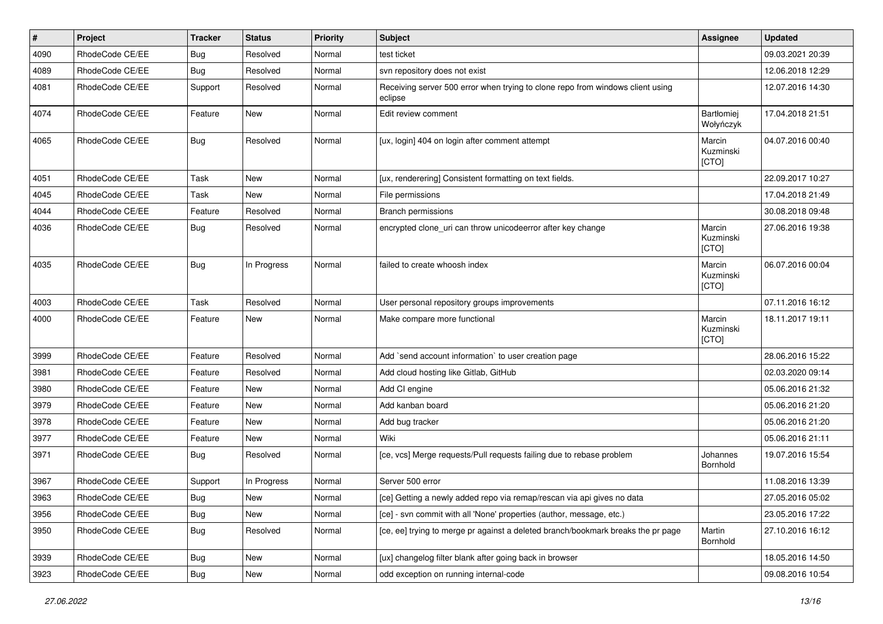| $\pmb{\#}$ | Project         | <b>Tracker</b> | <b>Status</b> | <b>Priority</b> | <b>Subject</b>                                                                            | <b>Assignee</b>              | <b>Updated</b>   |
|------------|-----------------|----------------|---------------|-----------------|-------------------------------------------------------------------------------------------|------------------------------|------------------|
| 4090       | RhodeCode CE/EE | <b>Bug</b>     | Resolved      | Normal          | test ticket                                                                               |                              | 09.03.2021 20:39 |
| 4089       | RhodeCode CE/EE | <b>Bug</b>     | Resolved      | Normal          | svn repository does not exist                                                             |                              | 12.06.2018 12:29 |
| 4081       | RhodeCode CE/EE | Support        | Resolved      | Normal          | Receiving server 500 error when trying to clone repo from windows client using<br>eclipse |                              | 12.07.2016 14:30 |
| 4074       | RhodeCode CE/EE | Feature        | <b>New</b>    | Normal          | Edit review comment                                                                       | Bartłomiej<br>Wołyńczyk      | 17.04.2018 21:51 |
| 4065       | RhodeCode CE/EE | <b>Bug</b>     | Resolved      | Normal          | [ux, login] 404 on login after comment attempt                                            | Marcin<br>Kuzminski<br>[CTO] | 04.07.2016 00:40 |
| 4051       | RhodeCode CE/EE | Task           | <b>New</b>    | Normal          | [ux, renderering] Consistent formatting on text fields.                                   |                              | 22.09.2017 10:27 |
| 4045       | RhodeCode CE/EE | Task           | <b>New</b>    | Normal          | File permissions                                                                          |                              | 17.04.2018 21:49 |
| 4044       | RhodeCode CE/EE | Feature        | Resolved      | Normal          | <b>Branch permissions</b>                                                                 |                              | 30.08.2018 09:48 |
| 4036       | RhodeCode CE/EE | Bug            | Resolved      | Normal          | encrypted clone_uri can throw unicodeerror after key change                               | Marcin<br>Kuzminski<br>[CTO] | 27.06.2016 19:38 |
| 4035       | RhodeCode CE/EE | Bug            | In Progress   | Normal          | failed to create whoosh index                                                             | Marcin<br>Kuzminski<br>[CTO] | 06.07.2016 00:04 |
| 4003       | RhodeCode CE/EE | Task           | Resolved      | Normal          | User personal repository groups improvements                                              |                              | 07.11.2016 16:12 |
| 4000       | RhodeCode CE/EE | Feature        | New           | Normal          | Make compare more functional                                                              | Marcin<br>Kuzminski<br>[CTO] | 18.11.2017 19:11 |
| 3999       | RhodeCode CE/EE | Feature        | Resolved      | Normal          | Add `send account information` to user creation page                                      |                              | 28.06.2016 15:22 |
| 3981       | RhodeCode CE/EE | Feature        | Resolved      | Normal          | Add cloud hosting like Gitlab, GitHub                                                     |                              | 02.03.2020 09:14 |
| 3980       | RhodeCode CE/EE | Feature        | New           | Normal          | Add CI engine                                                                             |                              | 05.06.2016 21:32 |
| 3979       | RhodeCode CE/EE | Feature        | <b>New</b>    | Normal          | Add kanban board                                                                          |                              | 05.06.2016 21:20 |
| 3978       | RhodeCode CE/EE | Feature        | <b>New</b>    | Normal          | Add bug tracker                                                                           |                              | 05.06.2016 21:20 |
| 3977       | RhodeCode CE/EE | Feature        | New           | Normal          | Wiki                                                                                      |                              | 05.06.2016 21:11 |
| 3971       | RhodeCode CE/EE | Bug            | Resolved      | Normal          | [ce, vcs] Merge requests/Pull requests failing due to rebase problem                      | Johannes<br>Bornhold         | 19.07.2016 15:54 |
| 3967       | RhodeCode CE/EE | Support        | In Progress   | Normal          | Server 500 error                                                                          |                              | 11.08.2016 13:39 |
| 3963       | RhodeCode CE/EE | i Bug          | New           | Normal          | [ce] Getting a newly added repo via remap/rescan via api gives no data                    |                              | 27.05.2016 05:02 |
| 3956       | RhodeCode CE/EE | Bug            | New           | Normal          | [ce] - svn commit with all 'None' properties (author, message, etc.)                      |                              | 23.05.2016 17:22 |
| 3950       | RhodeCode CE/EE | Bug            | Resolved      | Normal          | [ce, ee] trying to merge pr against a deleted branch/bookmark breaks the pr page          | Martin<br>Bornhold           | 27.10.2016 16:12 |
| 3939       | RhodeCode CE/EE | Bug            | New           | Normal          | [ux] changelog filter blank after going back in browser                                   |                              | 18.05.2016 14:50 |
| 3923       | RhodeCode CE/EE | Bug            | New           | Normal          | odd exception on running internal-code                                                    |                              | 09.08.2016 10:54 |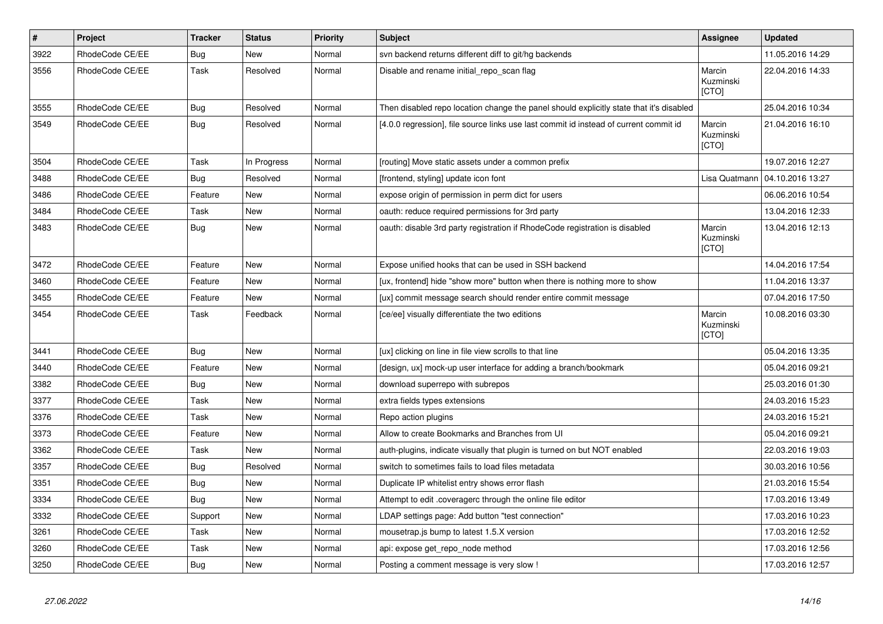| $\vert$ # | Project         | <b>Tracker</b> | <b>Status</b> | <b>Priority</b> | <b>Subject</b>                                                                          | Assignee                            | <b>Updated</b>   |
|-----------|-----------------|----------------|---------------|-----------------|-----------------------------------------------------------------------------------------|-------------------------------------|------------------|
| 3922      | RhodeCode CE/EE | Bug            | New           | Normal          | svn backend returns different diff to git/hg backends                                   |                                     | 11.05.2016 14:29 |
| 3556      | RhodeCode CE/EE | Task           | Resolved      | Normal          | Disable and rename initial repo scan flag                                               | Marcin<br>Kuzminski<br>[CTO]        | 22.04.2016 14:33 |
| 3555      | RhodeCode CE/EE | Bug            | Resolved      | Normal          | Then disabled repo location change the panel should explicitly state that it's disabled |                                     | 25.04.2016 10:34 |
| 3549      | RhodeCode CE/EE | Bug            | Resolved      | Normal          | [4.0.0 regression], file source links use last commit id instead of current commit id   | Marcin<br>Kuzminski<br><b>[CTO]</b> | 21.04.2016 16:10 |
| 3504      | RhodeCode CE/EE | Task           | In Progress   | Normal          | [routing] Move static assets under a common prefix                                      |                                     | 19.07.2016 12:27 |
| 3488      | RhodeCode CE/EE | Bug            | Resolved      | Normal          | [frontend, styling] update icon font                                                    | Lisa Quatmann                       | 04.10.2016 13:27 |
| 3486      | RhodeCode CE/EE | Feature        | <b>New</b>    | Normal          | expose origin of permission in perm dict for users                                      |                                     | 06.06.2016 10:54 |
| 3484      | RhodeCode CE/EE | Task           | New           | Normal          | oauth: reduce required permissions for 3rd party                                        |                                     | 13.04.2016 12:33 |
| 3483      | RhodeCode CE/EE | <b>Bug</b>     | New           | Normal          | oauth: disable 3rd party registration if RhodeCode registration is disabled             | Marcin<br>Kuzminski<br>[CTO]        | 13.04.2016 12:13 |
| 3472      | RhodeCode CE/EE | Feature        | New           | Normal          | Expose unified hooks that can be used in SSH backend                                    |                                     | 14.04.2016 17:54 |
| 3460      | RhodeCode CE/EE | Feature        | <b>New</b>    | Normal          | [ux, frontend] hide "show more" button when there is nothing more to show               |                                     | 11.04.2016 13:37 |
| 3455      | RhodeCode CE/EE | Feature        | New           | Normal          | [ux] commit message search should render entire commit message                          |                                     | 07.04.2016 17:50 |
| 3454      | RhodeCode CE/EE | Task           | Feedback      | Normal          | [ce/ee] visually differentiate the two editions                                         | Marcin<br>Kuzminski<br>[CTO]        | 10.08.2016 03:30 |
| 3441      | RhodeCode CE/EE | Bug            | New           | Normal          | [ux] clicking on line in file view scrolls to that line                                 |                                     | 05.04.2016 13:35 |
| 3440      | RhodeCode CE/EE | Feature        | <b>New</b>    | Normal          | [design, ux] mock-up user interface for adding a branch/bookmark                        |                                     | 05.04.2016 09:21 |
| 3382      | RhodeCode CE/EE | Bug            | New           | Normal          | download superrepo with subrepos                                                        |                                     | 25.03.2016 01:30 |
| 3377      | RhodeCode CE/EE | Task           | New           | Normal          | extra fields types extensions                                                           |                                     | 24.03.2016 15:23 |
| 3376      | RhodeCode CE/EE | Task           | New           | Normal          | Repo action plugins                                                                     |                                     | 24.03.2016 15:21 |
| 3373      | RhodeCode CE/EE | Feature        | New           | Normal          | Allow to create Bookmarks and Branches from UI                                          |                                     | 05.04.2016 09:21 |
| 3362      | RhodeCode CE/EE | Task           | New           | Normal          | auth-plugins, indicate visually that plugin is turned on but NOT enabled                |                                     | 22.03.2016 19:03 |
| 3357      | RhodeCode CE/EE | Bug            | Resolved      | Normal          | switch to sometimes fails to load files metadata                                        |                                     | 30.03.2016 10:56 |
| 3351      | RhodeCode CE/EE | Bug            | New           | Normal          | Duplicate IP whitelist entry shows error flash                                          |                                     | 21.03.2016 15:54 |
| 3334      | RhodeCode CE/EE | Bug            | New           | Normal          | Attempt to edit .coveragerc through the online file editor                              |                                     | 17.03.2016 13:49 |
| 3332      | RhodeCode CE/EE | Support        | New           | Normal          | LDAP settings page: Add button "test connection"                                        |                                     | 17.03.2016 10:23 |
| 3261      | RhodeCode CE/EE | Task           | New           | Normal          | mousetrap is bump to latest 1.5.X version                                               |                                     | 17.03.2016 12:52 |
| 3260      | RhodeCode CE/EE | Task           | New           | Normal          | api: expose get repo node method                                                        |                                     | 17.03.2016 12:56 |
| 3250      | RhodeCode CE/EE | Bug            | New           | Normal          | Posting a comment message is very slow!                                                 |                                     | 17.03.2016 12:57 |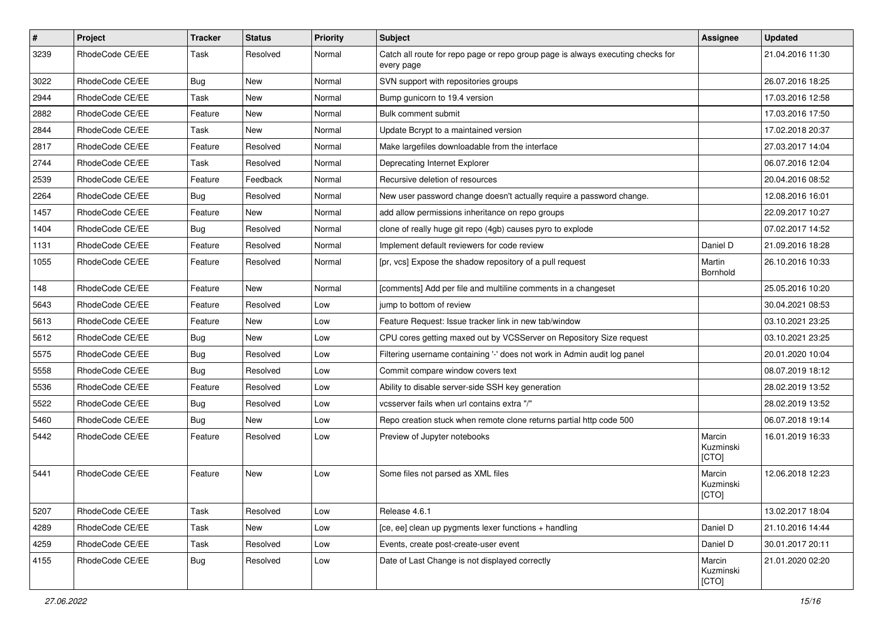| $\vert$ # | Project         | <b>Tracker</b> | <b>Status</b> | <b>Priority</b> | Subject                                                                                       | <b>Assignee</b>              | <b>Updated</b>   |
|-----------|-----------------|----------------|---------------|-----------------|-----------------------------------------------------------------------------------------------|------------------------------|------------------|
| 3239      | RhodeCode CE/EE | Task           | Resolved      | Normal          | Catch all route for repo page or repo group page is always executing checks for<br>every page |                              | 21.04.2016 11:30 |
| 3022      | RhodeCode CE/EE | Bug            | New           | Normal          | SVN support with repositories groups                                                          |                              | 26.07.2016 18:25 |
| 2944      | RhodeCode CE/EE | Task           | New           | Normal          | Bump gunicorn to 19.4 version                                                                 |                              | 17.03.2016 12:58 |
| 2882      | RhodeCode CE/EE | Feature        | New           | Normal          | Bulk comment submit                                                                           |                              | 17.03.2016 17:50 |
| 2844      | RhodeCode CE/EE | Task           | New           | Normal          | Update Bcrypt to a maintained version                                                         |                              | 17.02.2018 20:37 |
| 2817      | RhodeCode CE/EE | Feature        | Resolved      | Normal          | Make largefiles downloadable from the interface                                               |                              | 27.03.2017 14:04 |
| 2744      | RhodeCode CE/EE | Task           | Resolved      | Normal          | Deprecating Internet Explorer                                                                 |                              | 06.07.2016 12:04 |
| 2539      | RhodeCode CE/EE | Feature        | Feedback      | Normal          | Recursive deletion of resources                                                               |                              | 20.04.2016 08:52 |
| 2264      | RhodeCode CE/EE | Bug            | Resolved      | Normal          | New user password change doesn't actually require a password change.                          |                              | 12.08.2016 16:01 |
| 1457      | RhodeCode CE/EE | Feature        | New           | Normal          | add allow permissions inheritance on repo groups                                              |                              | 22.09.2017 10:27 |
| 1404      | RhodeCode CE/EE | Bug            | Resolved      | Normal          | clone of really huge git repo (4gb) causes pyro to explode                                    |                              | 07.02.2017 14:52 |
| 1131      | RhodeCode CE/EE | Feature        | Resolved      | Normal          | Implement default reviewers for code review                                                   | Daniel D                     | 21.09.2016 18:28 |
| 1055      | RhodeCode CE/EE | Feature        | Resolved      | Normal          | [pr, vcs] Expose the shadow repository of a pull request                                      | Martin<br>Bornhold           | 26.10.2016 10:33 |
| 148       | RhodeCode CE/EE | Feature        | New           | Normal          | [comments] Add per file and multiline comments in a changeset                                 |                              | 25.05.2016 10:20 |
| 5643      | RhodeCode CE/EE | Feature        | Resolved      | Low             | jump to bottom of review                                                                      |                              | 30.04.2021 08:53 |
| 5613      | RhodeCode CE/EE | Feature        | New           | Low             | Feature Request: Issue tracker link in new tab/window                                         |                              | 03.10.2021 23:25 |
| 5612      | RhodeCode CE/EE | Bug            | New           | Low             | CPU cores getting maxed out by VCSServer on Repository Size request                           |                              | 03.10.2021 23:25 |
| 5575      | RhodeCode CE/EE | Bug            | Resolved      | Low             | Filtering username containing '-' does not work in Admin audit log panel                      |                              | 20.01.2020 10:04 |
| 5558      | RhodeCode CE/EE | Bug            | Resolved      | Low             | Commit compare window covers text                                                             |                              | 08.07.2019 18:12 |
| 5536      | RhodeCode CE/EE | Feature        | Resolved      | Low             | Ability to disable server-side SSH key generation                                             |                              | 28.02.2019 13:52 |
| 5522      | RhodeCode CE/EE | Bug            | Resolved      | Low             | vcsserver fails when url contains extra "/"                                                   |                              | 28.02.2019 13:52 |
| 5460      | RhodeCode CE/EE | Bug            | <b>New</b>    | Low             | Repo creation stuck when remote clone returns partial http code 500                           |                              | 06.07.2018 19:14 |
| 5442      | RhodeCode CE/EE | Feature        | Resolved      | Low             | Preview of Jupyter notebooks                                                                  | Marcin<br>Kuzminski<br>[CTO] | 16.01.2019 16:33 |
| 5441      | RhodeCode CE/EE | Feature        | <b>New</b>    | Low             | Some files not parsed as XML files                                                            | Marcin<br>Kuzminski<br>[CTO] | 12.06.2018 12:23 |
| 5207      | RhodeCode CE/EE | Task           | Resolved      | Low             | Release 4.6.1                                                                                 |                              | 13.02.2017 18:04 |
| 4289      | RhodeCode CE/EE | Task           | New           | Low             | [ce, ee] clean up pygments lexer functions + handling                                         | Daniel D                     | 21.10.2016 14:44 |
| 4259      | RhodeCode CE/EE | Task           | Resolved      | Low             | Events, create post-create-user event                                                         | Daniel D                     | 30.01.2017 20:11 |
| 4155      | RhodeCode CE/EE | <b>Bug</b>     | Resolved      | Low             | Date of Last Change is not displayed correctly                                                | Marcin<br>Kuzminski<br>[CTO] | 21.01.2020 02:20 |